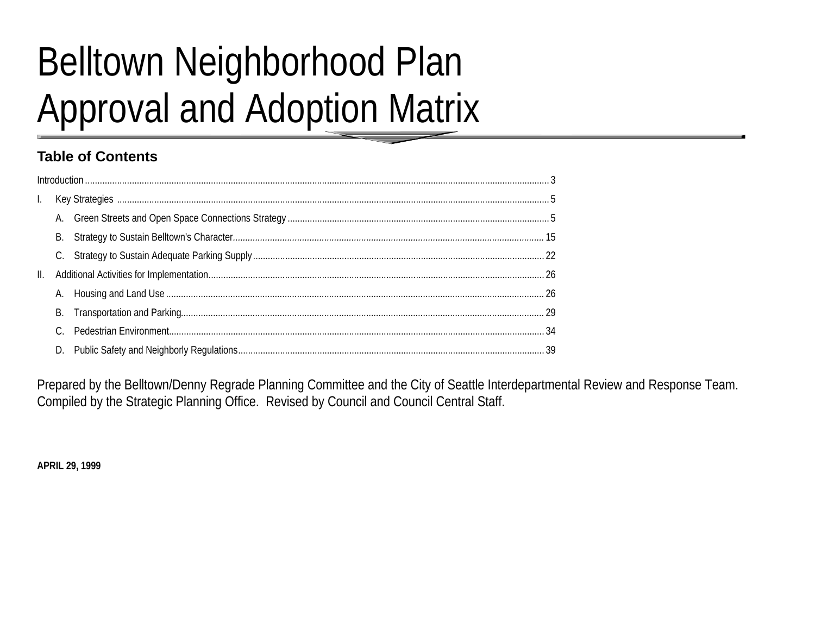# **Belltown Neighborhood Plan Approval and Adoption Matrix**

## **Table of Contents**

| Ш. |    |  |
|----|----|--|
|    |    |  |
|    | В. |  |
|    |    |  |
|    |    |  |

Prepared by the Belltown/Denny Regrade Planning Committee and the City of Seattle Interdepartmental Review and Response Team. Compiled by the Strategic Planning Office. Revised by Council and Council Central Staff.

**APRIL 29, 1999**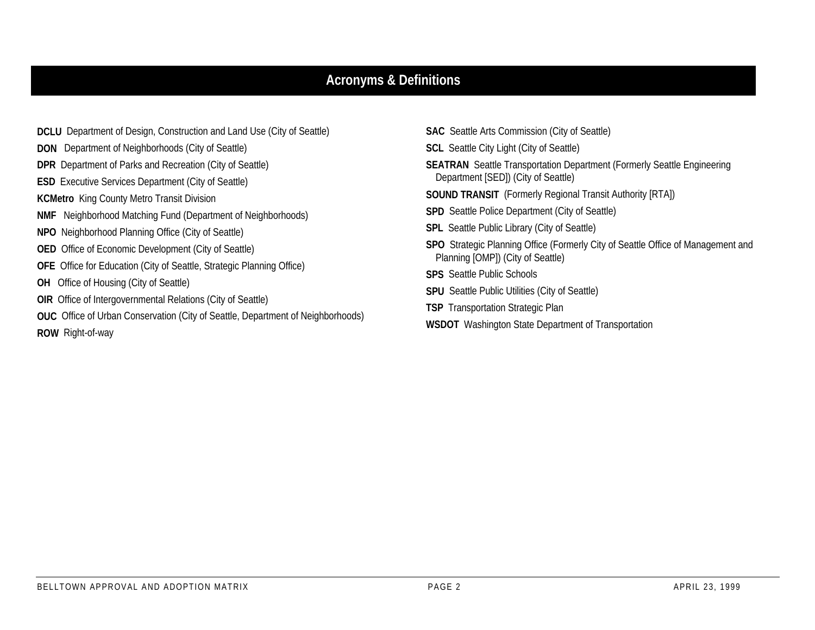## **Acronyms & Definitions**

- **DCLU** Department of Design, Construction and Land Use (City of Seattle) **DON** Department of Neighborhoods (City of Seattle) **DPR** Department of Parks and Recreation (City of Seattle) **ESD** Executive Services Department (City of Seattle) **KCMetro** King County Metro Transit Division **NMF** Neighborhood Matching Fund (Department of Neighborhoods) **NPO** Neighborhood Planning Office (City of Seattle) **OED** Office of Economic Development (City of Seattle) **OFE** Office for Education (City of Seattle, Strategic Planning Office) **OH** Office of Housing (City of Seattle) **OIR** Office of Intergovernmental Relations (City of Seattle) **OUC** Office of Urban Conservation (City of Seattle, Department of Neighborhoods) **ROW** Right-of-way
- **SAC** Seattle Arts Commission (City of Seattle) **SCL** Seattle City Light (City of Seattle) **SEATRAN** Seattle Transportation Department (Formerly Seattle Engineering Department [SED]) (City of Seattle) **SOUND TRANSIT** (Formerly Regional Transit Authority [RTA]) **SPD** Seattle Police Department (City of Seattle) **SPL** Seattle Public Library (City of Seattle) **SPO** Strategic Planning Office (Formerly City of Seattle Office of Management and Planning [OMP]) (City of Seattle) **SPS** Seattle Public Schools**SPU** Seattle Public Utilities (City of Seattle) **TSP** Transportation Strategic Plan
- **WSDOT** Washington State Department of Transportation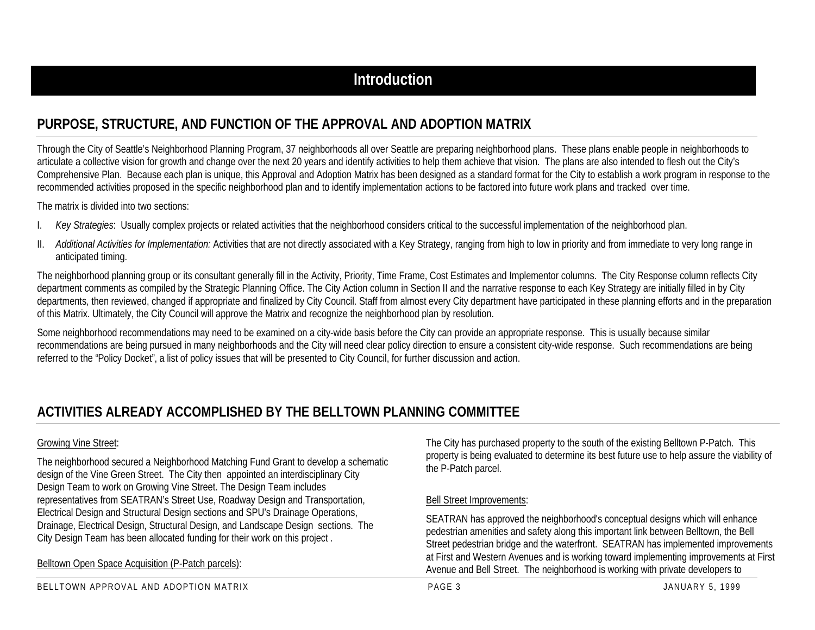## **PURPOSE, STRUCTURE, AND FUNCTION OF THE APPROVAL AND ADOPTION MATRIX**

Through the City of Seattle's Neighborhood Planning Program, 37 neighborhoods all over Seattle are preparing neighborhood plans. These plans enable people in neighborhoods to articulate a collective vision for growth and change over the next 20 years and identify activities to help them achieve that vision. The plans are also intended to flesh out the City's Comprehensive Plan. Because each plan is unique, this Approval and Adoption Matrix has been designed as a standard format for the City to establish a work program in response to the recommended activities proposed in the specific neighborhood plan and to identify implementation actions to be factored into future work plans and tracked over time.

The matrix is divided into two sections:

- I.*Key Strategies*: Usually complex projects or related activities that the neighborhood considers critical to the successful implementation of the neighborhood plan.
- II. *Additional Activities for Implementation:* Activities that are not directly associated with a Key Strategy, ranging from high to low in priority and from immediate to very long range in anticipated timing.

The neighborhood planning group or its consultant generally fill in the Activity, Priority, Time Frame, Cost Estimates and Implementor columns. The City Response column reflects City department comments as compiled by the Strategic Planning Office. The City Action column in Section II and the narrative response to each Key Strategy are initially filled in by City departments, then reviewed, changed if appropriate and finalized by City Council. Staff from almost every City department have participated in these planning efforts and in the preparation of this Matrix. Ultimately, the City Council will approve the Matrix and recognize the neighborhood plan by resolution.

Some neighborhood recommendations may need to be examined on a city-wide basis before the City can provide an appropriate response. This is usually because similar recommendations are being pursued in many neighborhoods and the City will need clear policy direction to ensure a consistent city-wide response. Such recommendations are being referred to the "Policy Docket", a list of policy issues that will be presented to City Council, for further discussion and action.

## **ACTIVITIES ALREADY ACCOMPLISHED BY THE BELLTOWN PLANNING COMMITTEE**

#### Growing Vine Street:

The neighborhood secured a Neighborhood Matching Fund Grant to develop a schematic design of the Vine Green Street. The City then appointed an interdisciplinary City Design Team to work on Growing Vine Street. The Design Team includes representatives from SEATRAN's Street Use, Roadway Design and Transportation, Electrical Design and Structural Design sections and SPU's Drainage Operations, Drainage, Electrical Design, Structural Design, and Landscape Design sections. The City Design Team has been allocated funding for their work on this project .

Belltown Open Space Acquisition (P-Patch parcels):

The City has purchased property to the south of the existing Belltown P-Patch. This property is being evaluated to determine its best future use to help assure the viability of the P-Patch parcel.

#### Bell Street Improvements:

SEATRAN has approved the neighborhood's conceptual designs which will enhance pedestrian amenities and safety along this important link between Belltown, the Bell Street pedestrian bridge and the waterfront. SEATRAN has implemented improvements at First and Western Avenues and is working toward implementing improvements at First Avenue and Bell Street. The neighborhood is working with private developers to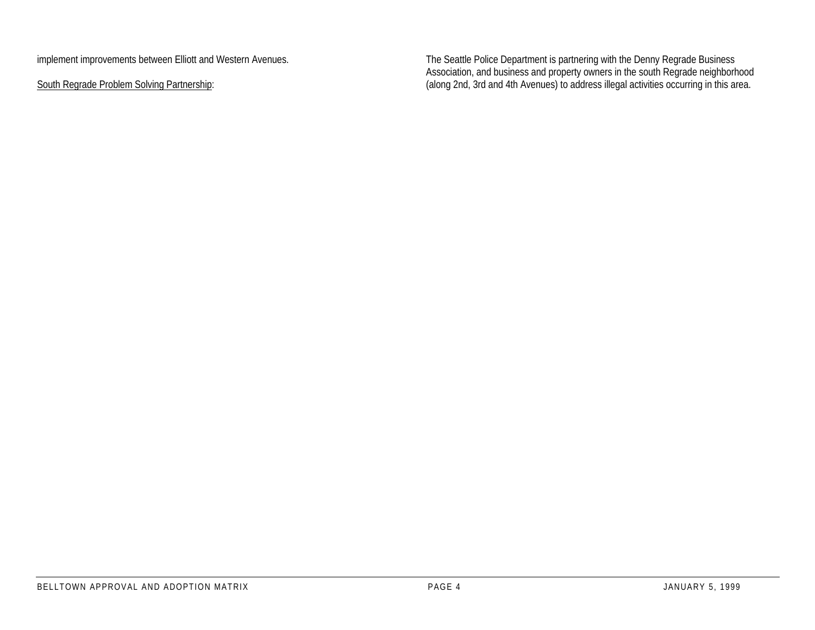implement improvements between Elliott and Western Avenues.

South Regrade Problem Solving Partnership:

The Seattle Police Department is partnering with the Denny Regrade Business Association, and business and property owners in the south Regrade neighborhood (along 2nd, 3rd and 4th Avenues) to address illegal activities occurring in this area.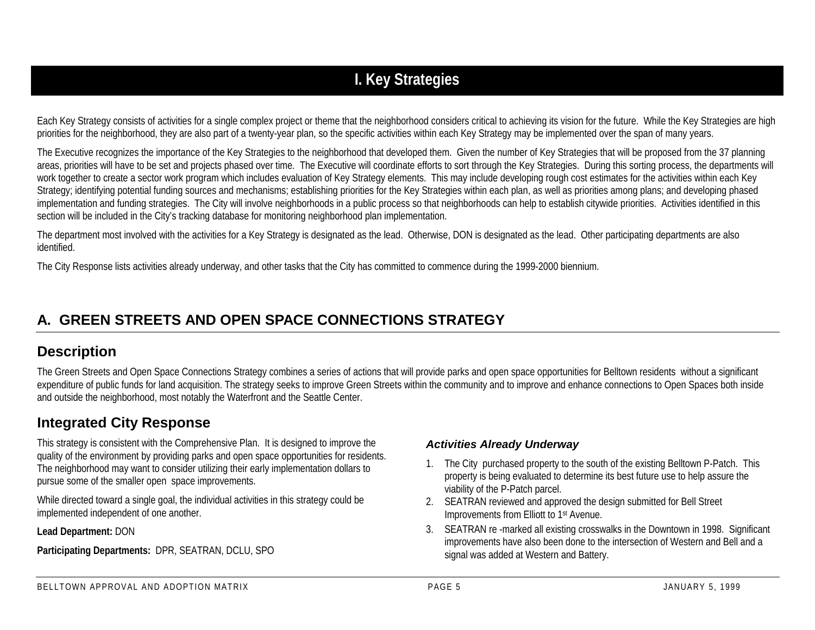## **I. Key Strategies**

Each Key Strategy consists of activities for a single complex project or theme that the neighborhood considers critical to achieving its vision for the future. While the Key Strategies are high priorities for the neighborhood, they are also part of a twenty-year plan, so the specific activities within each Key Strategy may be implemented over the span of many years.

The Executive recognizes the importance of the Key Strategies to the neighborhood that developed them. Given the number of Key Strategies that will be proposed from the 37 planning areas, priorities will have to be set and projects phased over time. The Executive will coordinate efforts to sort through the Key Strategies. During this sorting process, the departments will work together to create a sector work program which includes evaluation of Key Strategy elements. This may include developing rough cost estimates for the activities within each Key Strategy; identifying potential funding sources and mechanisms; establishing priorities for the Key Strategies within each plan, as well as priorities among plans; and developing phased implementation and funding strategies. The City will involve neighborhoods in a public process so that neighborhoods can help to establish citywide priorities. Activities identified in this section will be included in the City's tracking database for monitoring neighborhood plan implementation.

The department most involved with the activities for a Key Strategy is designated as the lead. Otherwise, DON is designated as the lead. Other participating departments are also identified.

The City Response lists activities already underway, and other tasks that the City has committed to commence during the 1999-2000 biennium.

## **A. GREEN STREETS AND OPEN SPACE CONNECTIONS STRATEGY**

## **Description**

The Green Streets and Open Space Connections Strategy combines a series of actions that will provide parks and open space opportunities for Belltown residents without a significant expenditure of public funds for land acquisition. The strategy seeks to improve Green Streets within the community and to improve and enhance connections to Open Spaces both inside and outside the neighborhood, most notably the Waterfront and the Seattle Center.

## **Integrated City Response**

This strategy is consistent with the Comprehensive Plan. It is designed to improve the quality of the environment by providing parks and open space opportunities for residents. The neighborhood may want to consider utilizing their early implementation dollars to pursue some of the smaller open space improvements.

While directed toward a single goal, the individual activities in this strategy could be implemented independent of one another.

**Lead Department:** DON

**Participating Departments:** DPR, SEATRAN, DCLU, SPO

### *Activities Already Underway*

- 1. The City purchased property to the south of the existing Belltown P-Patch. This property is being evaluated to determine its best future use to help assure the viability of the P-Patch parcel.
- 2. SEATRAN reviewed and approved the design submitted for Bell Street Improvements from Elliott to 1st Avenue.
- 3. SEATRAN re -marked all existing crosswalks in the Downtown in 1998. Significant improvements have also been done to the intersection of Western and Bell and a signal was added at Western and Battery.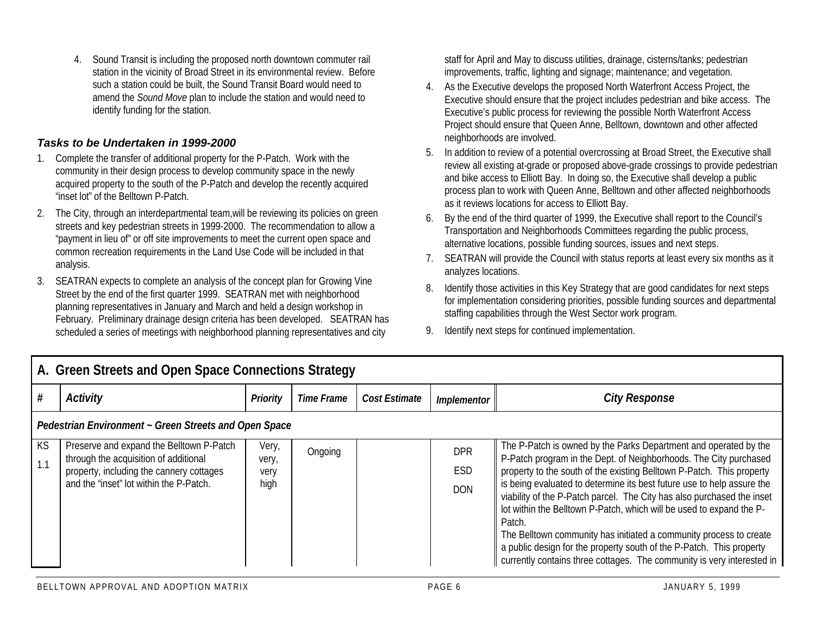4. Sound Transit is including the proposed north downtown commuter rail station in the vicinity of Broad Street in its environmental review. Before such a station could be built, the Sound Transit Board would need to amend the *Sound Move* plan to include the station and would need to identify funding for the station.

#### *Tasks to be Undertaken in 1999-2000*

- 1. Complete the transfer of additional property for the P-Patch. Work with the community in their design process to develop community space in the newly acquired property to the south of the P-Patch and develop the recently acquired "inset lot" of the Belltown P-Patch.
- 2. The City, through an interdepartmental team,will be reviewing its policies on green streets and key pedestrian streets in 1999-2000. The recommendation to allow a "payment in lieu of" or off site improvements to meet the current open space and common recreation requirements in the Land Use Code will be included in that analysis.
- 3. SEATRAN expects to complete an analysis of the concept plan for Growing Vine Street by the end of the first quarter 1999. SEATRAN met with neighborhood planning representatives in January and March and held a design workshop in February. Preliminary drainage design criteria has been developed. SEATRAN has scheduled a series of meetings with neighborhood planning representatives and city

staff for April and May to discuss utilities, drainage, cisterns/tanks; pedestrian improvements, traffic, lighting and signage; maintenance; and vegetation.

- 4. As the Executive develops the proposed North Waterfront Access Project, the Executive should ensure that the project includes pedestrian and bike access. The Executive's public process for reviewing the possible North Waterfront Access Project should ensure that Queen Anne, Belltown, downtown and other affected neighborhoods are involved.
- 5. In addition to review of a potential overcrossing at Broad Street, the Executive shall review all existing at-grade or proposed above-grade crossings to provide pedestrian and bike access to Elliott Bay. In doing so, the Executive shall develop a public process plan to work with Queen Anne, Belltown and other affected neighborhoods as it reviews locations for access to Elliott Bay.
- 6. By the end of the third quarter of 1999, the Executive shall report to the Council's Transportation and Neighborhoods Committees regarding the public process, alternative locations, possible funding sources, issues and next steps.
- 7. SEATRAN will provide the Council with status reports at least every six months as it analyzes locations.
- 8. Identify those activities in this Key Strategy that are good candidates for next steps for implementation considering priorities, possible funding sources and departmental staffing capabilities through the West Sector work program.
- 9. Identify next steps for continued implementation.

|           | A. Green Streets and Open Space Connections Strategy                                |                 |                   |               |                   |                                                                                                                                                                                                                      |  |  |  |
|-----------|-------------------------------------------------------------------------------------|-----------------|-------------------|---------------|-------------------|----------------------------------------------------------------------------------------------------------------------------------------------------------------------------------------------------------------------|--|--|--|
|           | <b>Activity</b>                                                                     | <b>Priority</b> | <b>Time Frame</b> | Cost Estimate | Implementor       | <b>City Response</b>                                                                                                                                                                                                 |  |  |  |
|           | Pedestrian Environment ~ Green Streets and Open Space                               |                 |                   |               |                   |                                                                                                                                                                                                                      |  |  |  |
| KS<br>1.1 | Preserve and expand the Belltown P-Patch<br>through the acquisition of additional   | Very,<br>very,  | Ongoing           |               | <b>DPR</b>        | The P-Patch is owned by the Parks Department and operated by the<br>P-Patch program in the Dept. of Neighborhoods. The City purchased                                                                                |  |  |  |
|           | property, including the cannery cottages<br>and the "inset" lot within the P-Patch. | very<br>high    |                   |               | ESD<br><b>DON</b> | property to the south of the existing Belltown P-Patch. This property<br>is being evaluated to determine its best future use to help assure the                                                                      |  |  |  |
|           |                                                                                     |                 |                   |               |                   | viability of the P-Patch parcel. The City has also purchased the inset<br>lot within the Belltown P-Patch, which will be used to expand the P-<br>Patch.                                                             |  |  |  |
|           |                                                                                     |                 |                   |               |                   | The Belltown community has initiated a community process to create<br>a public design for the property south of the P-Patch. This property<br>currently contains three cottages. The community is very interested in |  |  |  |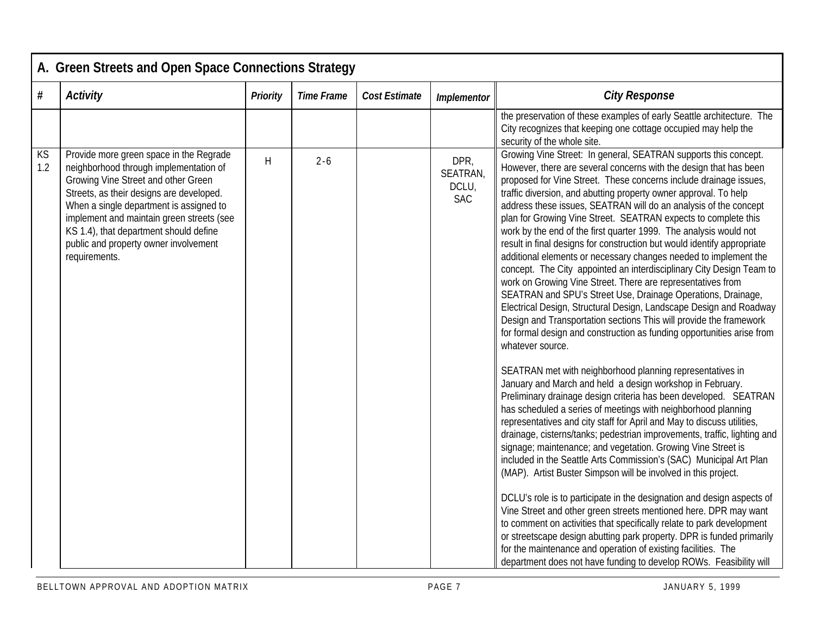|           | A. Green Streets and Open Space Connections Strategy                                                                                                                                                                                                                                                                                                             |                 |                   |               |                                         |                                                                                                                                                                                                                                                                                                                                                                                                                                                                                                                                                                                                                                                                                                                                                                                                                                                                                                                                                                                                                                                                                                                                                                                                                                                                                                                                                                                                                                                                                                                                                                                                                                                                                                                                                                                                                                                                                                                                                                                                                                                                                                                                                              |  |  |  |  |  |
|-----------|------------------------------------------------------------------------------------------------------------------------------------------------------------------------------------------------------------------------------------------------------------------------------------------------------------------------------------------------------------------|-----------------|-------------------|---------------|-----------------------------------------|--------------------------------------------------------------------------------------------------------------------------------------------------------------------------------------------------------------------------------------------------------------------------------------------------------------------------------------------------------------------------------------------------------------------------------------------------------------------------------------------------------------------------------------------------------------------------------------------------------------------------------------------------------------------------------------------------------------------------------------------------------------------------------------------------------------------------------------------------------------------------------------------------------------------------------------------------------------------------------------------------------------------------------------------------------------------------------------------------------------------------------------------------------------------------------------------------------------------------------------------------------------------------------------------------------------------------------------------------------------------------------------------------------------------------------------------------------------------------------------------------------------------------------------------------------------------------------------------------------------------------------------------------------------------------------------------------------------------------------------------------------------------------------------------------------------------------------------------------------------------------------------------------------------------------------------------------------------------------------------------------------------------------------------------------------------------------------------------------------------------------------------------------------------|--|--|--|--|--|
| #         | <b>Activity</b>                                                                                                                                                                                                                                                                                                                                                  | <b>Priority</b> | <b>Time Frame</b> | Cost Estimate | <b>Implementor</b>                      | <b>City Response</b>                                                                                                                                                                                                                                                                                                                                                                                                                                                                                                                                                                                                                                                                                                                                                                                                                                                                                                                                                                                                                                                                                                                                                                                                                                                                                                                                                                                                                                                                                                                                                                                                                                                                                                                                                                                                                                                                                                                                                                                                                                                                                                                                         |  |  |  |  |  |
|           |                                                                                                                                                                                                                                                                                                                                                                  |                 |                   |               |                                         | the preservation of these examples of early Seattle architecture. The<br>City recognizes that keeping one cottage occupied may help the<br>security of the whole site.                                                                                                                                                                                                                                                                                                                                                                                                                                                                                                                                                                                                                                                                                                                                                                                                                                                                                                                                                                                                                                                                                                                                                                                                                                                                                                                                                                                                                                                                                                                                                                                                                                                                                                                                                                                                                                                                                                                                                                                       |  |  |  |  |  |
| KS<br>1.2 | Provide more green space in the Regrade<br>neighborhood through implementation of<br>Growing Vine Street and other Green<br>Streets, as their designs are developed.<br>When a single department is assigned to<br>implement and maintain green streets (see<br>KS 1.4), that department should define<br>public and property owner involvement<br>requirements. | H               | $2 - 6$           |               | DPR,<br>SEATRAN,<br>DCLU,<br><b>SAC</b> | Growing Vine Street: In general, SEATRAN supports this concept.<br>However, there are several concerns with the design that has been<br>proposed for Vine Street. These concerns include drainage issues,<br>traffic diversion, and abutting property owner approval. To help<br>address these issues, SEATRAN will do an analysis of the concept<br>plan for Growing Vine Street. SEATRAN expects to complete this<br>work by the end of the first quarter 1999. The analysis would not<br>result in final designs for construction but would identify appropriate<br>additional elements or necessary changes needed to implement the<br>concept. The City appointed an interdisciplinary City Design Team to<br>work on Growing Vine Street. There are representatives from<br>SEATRAN and SPU's Street Use, Drainage Operations, Drainage,<br>Electrical Design, Structural Design, Landscape Design and Roadway<br>Design and Transportation sections This will provide the framework<br>for formal design and construction as funding opportunities arise from<br>whatever source.<br>SEATRAN met with neighborhood planning representatives in<br>January and March and held a design workshop in February.<br>Preliminary drainage design criteria has been developed. SEATRAN<br>has scheduled a series of meetings with neighborhood planning<br>representatives and city staff for April and May to discuss utilities,<br>drainage, cisterns/tanks; pedestrian improvements, traffic, lighting and<br>signage; maintenance; and vegetation. Growing Vine Street is<br>included in the Seattle Arts Commission's (SAC) Municipal Art Plan<br>(MAP). Artist Buster Simpson will be involved in this project.<br>DCLU's role is to participate in the designation and design aspects of<br>Vine Street and other green streets mentioned here. DPR may want<br>to comment on activities that specifically relate to park development<br>or streetscape design abutting park property. DPR is funded primarily<br>for the maintenance and operation of existing facilities. The<br>department does not have funding to develop ROWs. Feasibility will |  |  |  |  |  |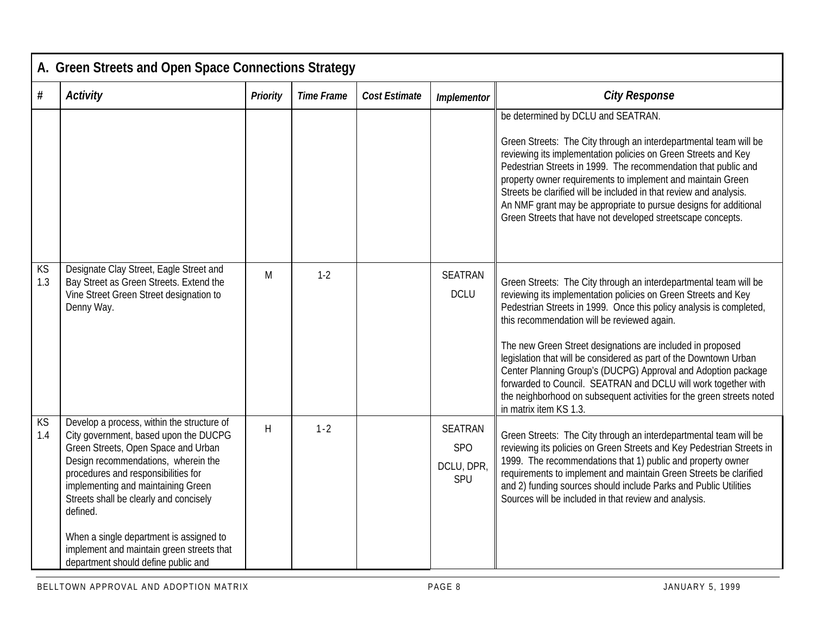|           | A. Green Streets and Open Space Connections Strategy                                                                                                                                                                                                                                                                                                                                                                                |                 |                   |                      |                                                   |                                                                                                                                                                                                                                                                                                                                                                                                                                                                                                                                                                                                                                    |  |  |  |  |
|-----------|-------------------------------------------------------------------------------------------------------------------------------------------------------------------------------------------------------------------------------------------------------------------------------------------------------------------------------------------------------------------------------------------------------------------------------------|-----------------|-------------------|----------------------|---------------------------------------------------|------------------------------------------------------------------------------------------------------------------------------------------------------------------------------------------------------------------------------------------------------------------------------------------------------------------------------------------------------------------------------------------------------------------------------------------------------------------------------------------------------------------------------------------------------------------------------------------------------------------------------------|--|--|--|--|
| #         | <b>Activity</b>                                                                                                                                                                                                                                                                                                                                                                                                                     | <b>Priority</b> | <b>Time Frame</b> | <b>Cost Estimate</b> | <b>Implementor</b>                                | <b>City Response</b>                                                                                                                                                                                                                                                                                                                                                                                                                                                                                                                                                                                                               |  |  |  |  |
|           |                                                                                                                                                                                                                                                                                                                                                                                                                                     |                 |                   |                      |                                                   | be determined by DCLU and SEATRAN.<br>Green Streets: The City through an interdepartmental team will be<br>reviewing its implementation policies on Green Streets and Key<br>Pedestrian Streets in 1999. The recommendation that public and<br>property owner requirements to implement and maintain Green<br>Streets be clarified will be included in that review and analysis.<br>An NMF grant may be appropriate to pursue designs for additional<br>Green Streets that have not developed streetscape concepts.                                                                                                                |  |  |  |  |
| KS<br>1.3 | Designate Clay Street, Eagle Street and<br>Bay Street as Green Streets. Extend the<br>Vine Street Green Street designation to<br>Denny Way.                                                                                                                                                                                                                                                                                         | M               | $1-2$             |                      | <b>SEATRAN</b><br><b>DCLU</b>                     | Green Streets: The City through an interdepartmental team will be<br>reviewing its implementation policies on Green Streets and Key<br>Pedestrian Streets in 1999. Once this policy analysis is completed,<br>this recommendation will be reviewed again.<br>The new Green Street designations are included in proposed<br>legislation that will be considered as part of the Downtown Urban<br>Center Planning Group's (DUCPG) Approval and Adoption package<br>forwarded to Council. SEATRAN and DCLU will work together with<br>the neighborhood on subsequent activities for the green streets noted<br>in matrix item KS 1.3. |  |  |  |  |
| KS<br>1.4 | Develop a process, within the structure of<br>City government, based upon the DUCPG<br>Green Streets, Open Space and Urban<br>Design recommendations, wherein the<br>procedures and responsibilities for<br>implementing and maintaining Green<br>Streets shall be clearly and concisely<br>defined.<br>When a single department is assigned to<br>implement and maintain green streets that<br>department should define public and | H               | $1 - 2$           |                      | <b>SEATRAN</b><br><b>SPO</b><br>DCLU, DPR,<br>SPU | Green Streets: The City through an interdepartmental team will be<br>reviewing its policies on Green Streets and Key Pedestrian Streets in<br>1999. The recommendations that 1) public and property owner<br>requirements to implement and maintain Green Streets be clarified<br>and 2) funding sources should include Parks and Public Utilities<br>Sources will be included in that review and analysis.                                                                                                                                                                                                                        |  |  |  |  |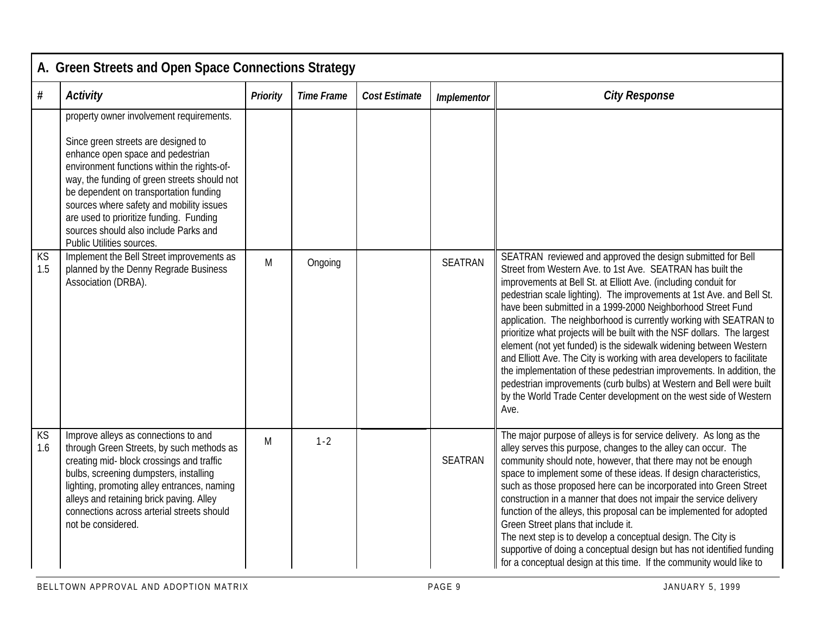|                        | A. Green Streets and Open Space Connections Strategy                                                                                                                                                                                                                                                                                                                                                                       |                 |                   |                      |                |                                                                                                                                                                                                                                                                                                                                                                                                                                                                                                                                                                                                                                                                                                                                                                                                                                                                     |  |  |  |  |
|------------------------|----------------------------------------------------------------------------------------------------------------------------------------------------------------------------------------------------------------------------------------------------------------------------------------------------------------------------------------------------------------------------------------------------------------------------|-----------------|-------------------|----------------------|----------------|---------------------------------------------------------------------------------------------------------------------------------------------------------------------------------------------------------------------------------------------------------------------------------------------------------------------------------------------------------------------------------------------------------------------------------------------------------------------------------------------------------------------------------------------------------------------------------------------------------------------------------------------------------------------------------------------------------------------------------------------------------------------------------------------------------------------------------------------------------------------|--|--|--|--|
| #                      | <b>Activity</b>                                                                                                                                                                                                                                                                                                                                                                                                            | <b>Priority</b> | <b>Time Frame</b> | <b>Cost Estimate</b> | Implementor    | <b>City Response</b>                                                                                                                                                                                                                                                                                                                                                                                                                                                                                                                                                                                                                                                                                                                                                                                                                                                |  |  |  |  |
|                        | property owner involvement requirements.<br>Since green streets are designed to<br>enhance open space and pedestrian<br>environment functions within the rights-of-<br>way, the funding of green streets should not<br>be dependent on transportation funding<br>sources where safety and mobility issues<br>are used to prioritize funding. Funding<br>sources should also include Parks and<br>Public Utilities sources. |                 |                   |                      |                |                                                                                                                                                                                                                                                                                                                                                                                                                                                                                                                                                                                                                                                                                                                                                                                                                                                                     |  |  |  |  |
| KS<br>1.5              | Implement the Bell Street improvements as<br>planned by the Denny Regrade Business<br>Association (DRBA).                                                                                                                                                                                                                                                                                                                  | M               | Ongoing           |                      | <b>SEATRAN</b> | SEATRAN reviewed and approved the design submitted for Bell<br>Street from Western Ave. to 1st Ave. SEATRAN has built the<br>improvements at Bell St. at Elliott Ave. (including conduit for<br>pedestrian scale lighting). The improvements at 1st Ave. and Bell St.<br>have been submitted in a 1999-2000 Neighborhood Street Fund<br>application. The neighborhood is currently working with SEATRAN to<br>prioritize what projects will be built with the NSF dollars. The largest<br>element (not yet funded) is the sidewalk widening between Western<br>and Elliott Ave. The City is working with area developers to facilitate<br>the implementation of these pedestrian improvements. In addition, the<br>pedestrian improvements (curb bulbs) at Western and Bell were built<br>by the World Trade Center development on the west side of Western<br>Ave. |  |  |  |  |
| $K\overline{S}$<br>1.6 | Improve alleys as connections to and<br>through Green Streets, by such methods as<br>creating mid- block crossings and traffic<br>bulbs, screening dumpsters, installing<br>lighting, promoting alley entrances, naming<br>alleys and retaining brick paving. Alley<br>connections across arterial streets should<br>not be considered.                                                                                    | M               | $1 - 2$           |                      | <b>SEATRAN</b> | The major purpose of alleys is for service delivery. As long as the<br>alley serves this purpose, changes to the alley can occur. The<br>community should note, however, that there may not be enough<br>space to implement some of these ideas. If design characteristics,<br>such as those proposed here can be incorporated into Green Street<br>construction in a manner that does not impair the service delivery<br>function of the alleys, this proposal can be implemented for adopted<br>Green Street plans that include it.<br>The next step is to develop a conceptual design. The City is<br>supportive of doing a conceptual design but has not identified funding<br>for a conceptual design at this time. If the community would like to                                                                                                             |  |  |  |  |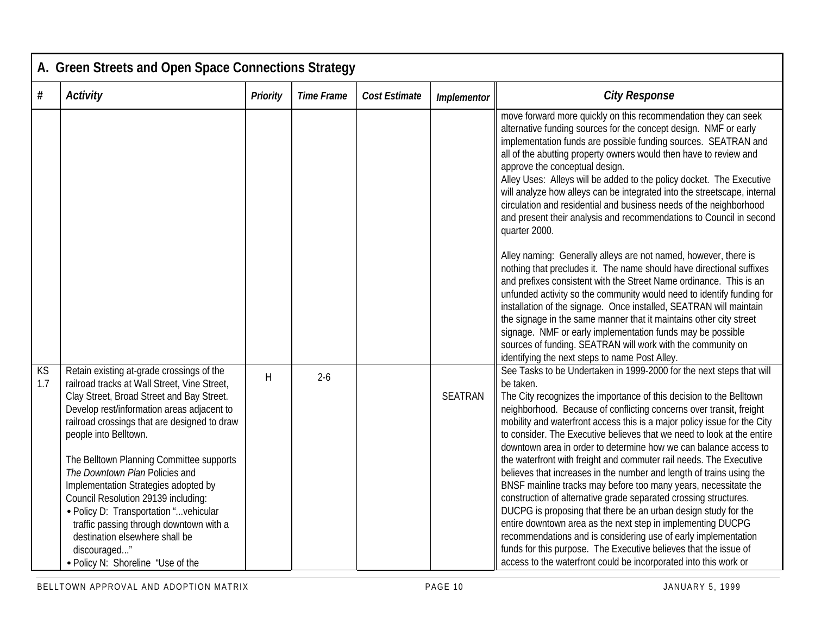|           | A. Green Streets and Open Space Connections Strategy                                                                                                                                                                                                                                                                                                                                                                                                                                                                                                                                                  |                 |                   |                      |                |                                                                                                                                                                                                                                                                                                                                                                                                                                                                                                                                                                                                                                                                                                                                                                                                                                                                                                                                                                                                                                                                                                                                                                                                                                                    |  |  |  |  |
|-----------|-------------------------------------------------------------------------------------------------------------------------------------------------------------------------------------------------------------------------------------------------------------------------------------------------------------------------------------------------------------------------------------------------------------------------------------------------------------------------------------------------------------------------------------------------------------------------------------------------------|-----------------|-------------------|----------------------|----------------|----------------------------------------------------------------------------------------------------------------------------------------------------------------------------------------------------------------------------------------------------------------------------------------------------------------------------------------------------------------------------------------------------------------------------------------------------------------------------------------------------------------------------------------------------------------------------------------------------------------------------------------------------------------------------------------------------------------------------------------------------------------------------------------------------------------------------------------------------------------------------------------------------------------------------------------------------------------------------------------------------------------------------------------------------------------------------------------------------------------------------------------------------------------------------------------------------------------------------------------------------|--|--|--|--|
| #         | <b>Activity</b>                                                                                                                                                                                                                                                                                                                                                                                                                                                                                                                                                                                       | <b>Priority</b> | <b>Time Frame</b> | <b>Cost Estimate</b> | Implementor    | <b>City Response</b>                                                                                                                                                                                                                                                                                                                                                                                                                                                                                                                                                                                                                                                                                                                                                                                                                                                                                                                                                                                                                                                                                                                                                                                                                               |  |  |  |  |
|           |                                                                                                                                                                                                                                                                                                                                                                                                                                                                                                                                                                                                       |                 |                   |                      |                | move forward more quickly on this recommendation they can seek<br>alternative funding sources for the concept design. NMF or early<br>implementation funds are possible funding sources. SEATRAN and<br>all of the abutting property owners would then have to review and<br>approve the conceptual design.<br>Alley Uses: Alleys will be added to the policy docket. The Executive<br>will analyze how alleys can be integrated into the streetscape, internal<br>circulation and residential and business needs of the neighborhood<br>and present their analysis and recommendations to Council in second<br>quarter 2000.<br>Alley naming: Generally alleys are not named, however, there is<br>nothing that precludes it. The name should have directional suffixes<br>and prefixes consistent with the Street Name ordinance. This is an<br>unfunded activity so the community would need to identify funding for<br>installation of the signage. Once installed, SEATRAN will maintain<br>the signage in the same manner that it maintains other city street<br>signage. NMF or early implementation funds may be possible<br>sources of funding. SEATRAN will work with the community on<br>identifying the next steps to name Post Alley. |  |  |  |  |
| KS<br>1.7 | Retain existing at-grade crossings of the<br>railroad tracks at Wall Street, Vine Street,<br>Clay Street, Broad Street and Bay Street.<br>Develop rest/information areas adjacent to<br>railroad crossings that are designed to draw<br>people into Belltown.<br>The Belltown Planning Committee supports<br>The Downtown Plan Policies and<br>Implementation Strategies adopted by<br>Council Resolution 29139 including:<br>· Policy D: Transportation "vehicular<br>traffic passing through downtown with a<br>destination elsewhere shall be<br>discouraged"<br>• Policy N: Shoreline "Use of the | H               | $2-6$             |                      | <b>SEATRAN</b> | See Tasks to be Undertaken in 1999-2000 for the next steps that will<br>be taken.<br>The City recognizes the importance of this decision to the Belltown<br>neighborhood. Because of conflicting concerns over transit, freight<br>mobility and waterfront access this is a major policy issue for the City<br>to consider. The Executive believes that we need to look at the entire<br>downtown area in order to determine how we can balance access to<br>the waterfront with freight and commuter rail needs. The Executive<br>believes that increases in the number and length of trains using the<br>BNSF mainline tracks may before too many years, necessitate the<br>construction of alternative grade separated crossing structures.<br>DUCPG is proposing that there be an urban design study for the<br>entire downtown area as the next step in implementing DUCPG<br>recommendations and is considering use of early implementation<br>funds for this purpose. The Executive believes that the issue of<br>access to the waterfront could be incorporated into this work or                                                                                                                                                          |  |  |  |  |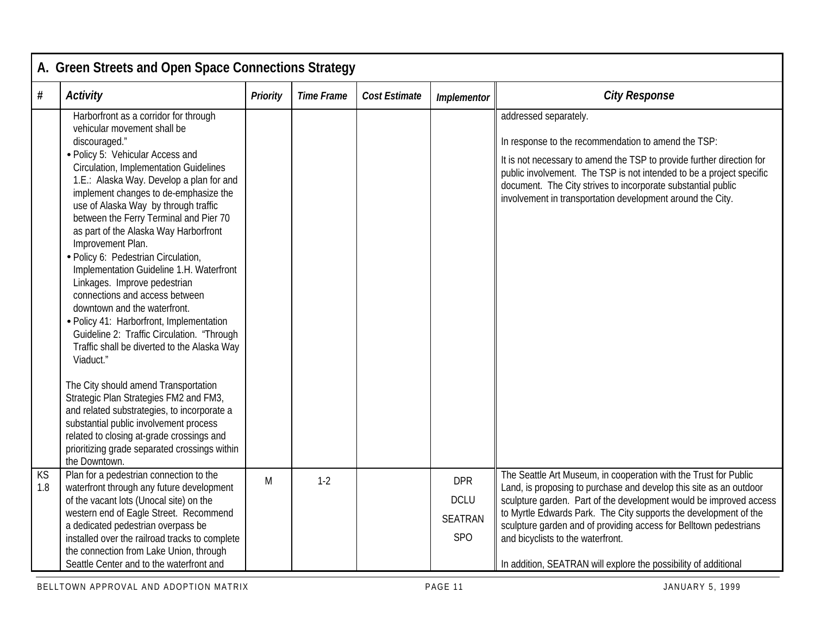|           | A. Green Streets and Open Space Connections Strategy                                                                                                                                                                                                                                                                                                                                                                                                                                                                                                                                                                                                                                                                                                                                                                                                                                                                                                                                                                                                 |                 |                   |                      |                                                    |                                                                                                                                                                                                                                                                                                                                                                                                                                                               |  |  |  |  |
|-----------|------------------------------------------------------------------------------------------------------------------------------------------------------------------------------------------------------------------------------------------------------------------------------------------------------------------------------------------------------------------------------------------------------------------------------------------------------------------------------------------------------------------------------------------------------------------------------------------------------------------------------------------------------------------------------------------------------------------------------------------------------------------------------------------------------------------------------------------------------------------------------------------------------------------------------------------------------------------------------------------------------------------------------------------------------|-----------------|-------------------|----------------------|----------------------------------------------------|---------------------------------------------------------------------------------------------------------------------------------------------------------------------------------------------------------------------------------------------------------------------------------------------------------------------------------------------------------------------------------------------------------------------------------------------------------------|--|--|--|--|
| #         | <b>Activity</b>                                                                                                                                                                                                                                                                                                                                                                                                                                                                                                                                                                                                                                                                                                                                                                                                                                                                                                                                                                                                                                      | <b>Priority</b> | <b>Time Frame</b> | <b>Cost Estimate</b> | Implementor                                        | <b>City Response</b>                                                                                                                                                                                                                                                                                                                                                                                                                                          |  |  |  |  |
|           | Harborfront as a corridor for through<br>vehicular movement shall be<br>discouraged."<br>· Policy 5: Vehicular Access and<br><b>Circulation, Implementation Guidelines</b><br>1.E.: Alaska Way. Develop a plan for and<br>implement changes to de-emphasize the<br>use of Alaska Way by through traffic<br>between the Ferry Terminal and Pier 70<br>as part of the Alaska Way Harborfront<br>Improvement Plan.<br>· Policy 6: Pedestrian Circulation,<br>Implementation Guideline 1.H. Waterfront<br>Linkages. Improve pedestrian<br>connections and access between<br>downtown and the waterfront.<br>• Policy 41: Harborfront, Implementation<br>Guideline 2: Traffic Circulation. "Through<br>Traffic shall be diverted to the Alaska Way<br>Viaduct."<br>The City should amend Transportation<br>Strategic Plan Strategies FM2 and FM3,<br>and related substrategies, to incorporate a<br>substantial public involvement process<br>related to closing at-grade crossings and<br>prioritizing grade separated crossings within<br>the Downtown. |                 |                   |                      |                                                    | addressed separately.<br>In response to the recommendation to amend the TSP:<br>It is not necessary to amend the TSP to provide further direction for<br>public involvement. The TSP is not intended to be a project specific<br>document. The City strives to incorporate substantial public<br>involvement in transportation development around the City.                                                                                                   |  |  |  |  |
| KS<br>1.8 | Plan for a pedestrian connection to the<br>waterfront through any future development<br>of the vacant lots (Unocal site) on the<br>western end of Eagle Street. Recommend<br>a dedicated pedestrian overpass be<br>installed over the railroad tracks to complete<br>the connection from Lake Union, through<br>Seattle Center and to the waterfront and                                                                                                                                                                                                                                                                                                                                                                                                                                                                                                                                                                                                                                                                                             | M               | $1-2$             |                      | <b>DPR</b><br><b>DCLU</b><br><b>SEATRAN</b><br>SPO | The Seattle Art Museum, in cooperation with the Trust for Public<br>Land, is proposing to purchase and develop this site as an outdoor<br>sculpture garden. Part of the development would be improved access<br>to Myrtle Edwards Park. The City supports the development of the<br>sculpture garden and of providing access for Belltown pedestrians<br>and bicyclists to the waterfront.<br>In addition, SEATRAN will explore the possibility of additional |  |  |  |  |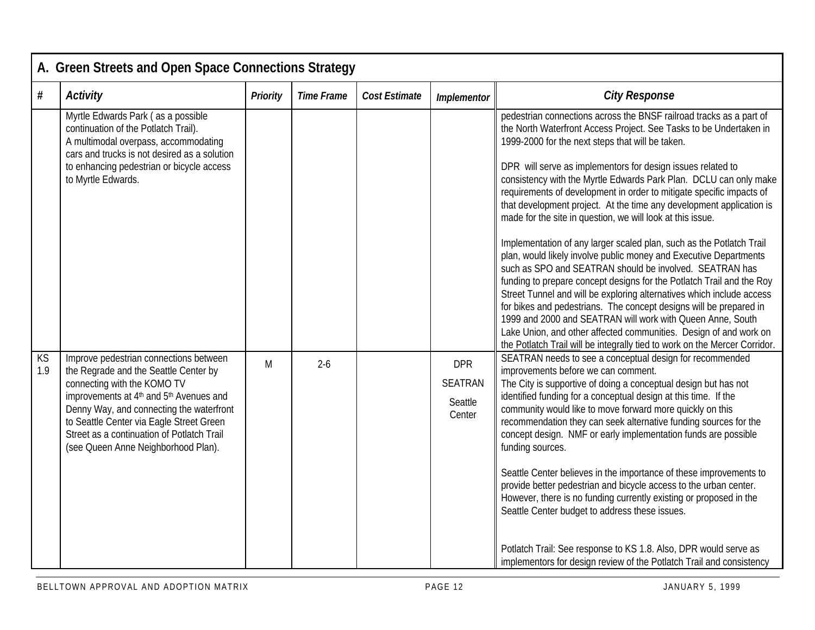|           | A. Green Streets and Open Space Connections Strategy                                                                                                                                                                                                                                                                                                           |                 |                   |                      |                                                   |                                                                                                                                                                                                                                                                                                                                                                                                                                                                                                                                                                                                                                                                                                                                                                                                                                                                                                                                                                                                                                                                                                                                                                                                  |  |  |  |  |
|-----------|----------------------------------------------------------------------------------------------------------------------------------------------------------------------------------------------------------------------------------------------------------------------------------------------------------------------------------------------------------------|-----------------|-------------------|----------------------|---------------------------------------------------|--------------------------------------------------------------------------------------------------------------------------------------------------------------------------------------------------------------------------------------------------------------------------------------------------------------------------------------------------------------------------------------------------------------------------------------------------------------------------------------------------------------------------------------------------------------------------------------------------------------------------------------------------------------------------------------------------------------------------------------------------------------------------------------------------------------------------------------------------------------------------------------------------------------------------------------------------------------------------------------------------------------------------------------------------------------------------------------------------------------------------------------------------------------------------------------------------|--|--|--|--|
| $\#$      | <b>Activity</b>                                                                                                                                                                                                                                                                                                                                                | <b>Priority</b> | <b>Time Frame</b> | <b>Cost Estimate</b> | <b>Implementor</b>                                | <b>City Response</b>                                                                                                                                                                                                                                                                                                                                                                                                                                                                                                                                                                                                                                                                                                                                                                                                                                                                                                                                                                                                                                                                                                                                                                             |  |  |  |  |
|           | Myrtle Edwards Park (as a possible<br>continuation of the Potlatch Trail).<br>A multimodal overpass, accommodating<br>cars and trucks is not desired as a solution<br>to enhancing pedestrian or bicycle access<br>to Myrtle Edwards.                                                                                                                          |                 |                   |                      |                                                   | pedestrian connections across the BNSF railroad tracks as a part of<br>the North Waterfront Access Project. See Tasks to be Undertaken in<br>1999-2000 for the next steps that will be taken.<br>DPR will serve as implementors for design issues related to<br>consistency with the Myrtle Edwards Park Plan. DCLU can only make<br>requirements of development in order to mitigate specific impacts of<br>that development project. At the time any development application is<br>made for the site in question, we will look at this issue.<br>Implementation of any larger scaled plan, such as the Potlatch Trail<br>plan, would likely involve public money and Executive Departments<br>such as SPO and SEATRAN should be involved. SEATRAN has<br>funding to prepare concept designs for the Potlatch Trail and the Roy<br>Street Tunnel and will be exploring alternatives which include access<br>for bikes and pedestrians. The concept designs will be prepared in<br>1999 and 2000 and SEATRAN will work with Queen Anne, South<br>Lake Union, and other affected communities. Design of and work on<br>the Potlatch Trail will be integrally tied to work on the Mercer Corridor. |  |  |  |  |
| KS<br>1.9 | Improve pedestrian connections between<br>the Regrade and the Seattle Center by<br>connecting with the KOMO TV<br>improvements at 4 <sup>th</sup> and 5 <sup>th</sup> Avenues and<br>Denny Way, and connecting the waterfront<br>to Seattle Center via Eagle Street Green<br>Street as a continuation of Potlatch Trail<br>(see Queen Anne Neighborhood Plan). | M               | $2 - 6$           |                      | <b>DPR</b><br><b>SEATRAN</b><br>Seattle<br>Center | SEATRAN needs to see a conceptual design for recommended<br>improvements before we can comment.<br>The City is supportive of doing a conceptual design but has not<br>identified funding for a conceptual design at this time. If the<br>community would like to move forward more quickly on this<br>recommendation they can seek alternative funding sources for the<br>concept design. NMF or early implementation funds are possible<br>funding sources.<br>Seattle Center believes in the importance of these improvements to<br>provide better pedestrian and bicycle access to the urban center.<br>However, there is no funding currently existing or proposed in the<br>Seattle Center budget to address these issues.<br>Potlatch Trail: See response to KS 1.8. Also, DPR would serve as<br>implementors for design review of the Potlatch Trail and consistency                                                                                                                                                                                                                                                                                                                      |  |  |  |  |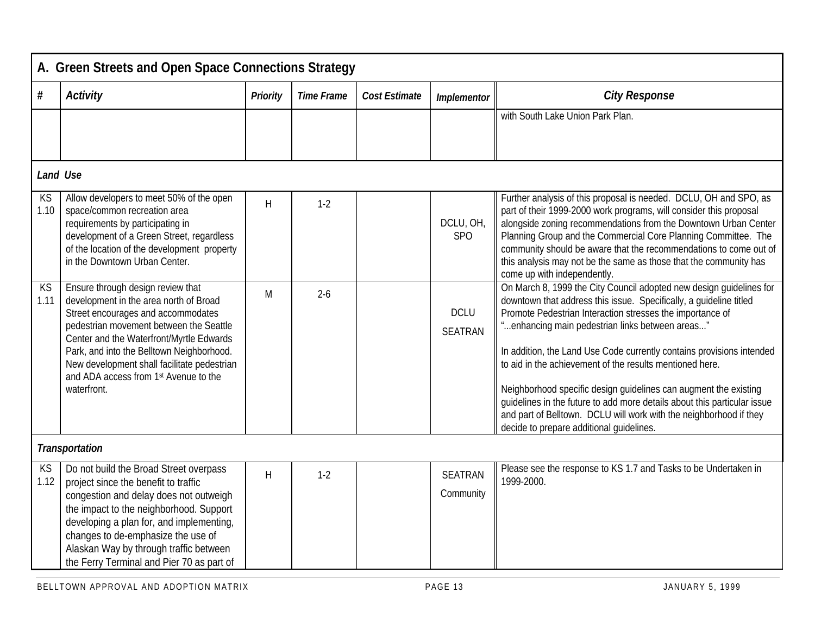|            | A. Green Streets and Open Space Connections Strategy                                                                                                                                                                                                                                                                                                         |                 |                   |                      |                               |                                                                                                                                                                                                                                                                                                                                                                                                                                                                                                                                                                                                                                                                  |  |  |  |  |
|------------|--------------------------------------------------------------------------------------------------------------------------------------------------------------------------------------------------------------------------------------------------------------------------------------------------------------------------------------------------------------|-----------------|-------------------|----------------------|-------------------------------|------------------------------------------------------------------------------------------------------------------------------------------------------------------------------------------------------------------------------------------------------------------------------------------------------------------------------------------------------------------------------------------------------------------------------------------------------------------------------------------------------------------------------------------------------------------------------------------------------------------------------------------------------------------|--|--|--|--|
| #          | <b>Activity</b>                                                                                                                                                                                                                                                                                                                                              | <b>Priority</b> | <b>Time Frame</b> | <b>Cost Estimate</b> | <b>Implementor</b>            | <b>City Response</b>                                                                                                                                                                                                                                                                                                                                                                                                                                                                                                                                                                                                                                             |  |  |  |  |
|            |                                                                                                                                                                                                                                                                                                                                                              |                 |                   |                      |                               | with South Lake Union Park Plan.                                                                                                                                                                                                                                                                                                                                                                                                                                                                                                                                                                                                                                 |  |  |  |  |
|            | <b>Land Use</b>                                                                                                                                                                                                                                                                                                                                              |                 |                   |                      |                               |                                                                                                                                                                                                                                                                                                                                                                                                                                                                                                                                                                                                                                                                  |  |  |  |  |
| KS<br>1.10 | Allow developers to meet 50% of the open<br>space/common recreation area<br>requirements by participating in<br>development of a Green Street, regardless<br>of the location of the development property<br>in the Downtown Urban Center.                                                                                                                    | H               | $1-2$             |                      | DCLU, OH,<br>SP <sub>O</sub>  | Further analysis of this proposal is needed. DCLU, OH and SPO, as<br>part of their 1999-2000 work programs, will consider this proposal<br>alongside zoning recommendations from the Downtown Urban Center<br>Planning Group and the Commercial Core Planning Committee. The<br>community should be aware that the recommendations to come out of<br>this analysis may not be the same as those that the community has<br>come up with independently.                                                                                                                                                                                                            |  |  |  |  |
| KS<br>1.11 | Ensure through design review that<br>development in the area north of Broad<br>Street encourages and accommodates<br>pedestrian movement between the Seattle<br>Center and the Waterfront/Myrtle Edwards<br>Park, and into the Belltown Neighborhood.<br>New development shall facilitate pedestrian<br>and ADA access from 1st Avenue to the<br>waterfront. | M               | $2 - 6$           |                      | <b>DCLU</b><br><b>SEATRAN</b> | On March 8, 1999 the City Council adopted new design guidelines for<br>downtown that address this issue. Specifically, a guideline titled<br>Promote Pedestrian Interaction stresses the importance of<br>"enhancing main pedestrian links between areas"<br>In addition, the Land Use Code currently contains provisions intended<br>to aid in the achievement of the results mentioned here.<br>Neighborhood specific design guidelines can augment the existing<br>guidelines in the future to add more details about this particular issue<br>and part of Belltown. DCLU will work with the neighborhood if they<br>decide to prepare additional quidelines. |  |  |  |  |
|            | <b>Transportation</b>                                                                                                                                                                                                                                                                                                                                        |                 |                   |                      |                               |                                                                                                                                                                                                                                                                                                                                                                                                                                                                                                                                                                                                                                                                  |  |  |  |  |
| KS<br>1.12 | Do not build the Broad Street overpass<br>project since the benefit to traffic<br>congestion and delay does not outweigh<br>the impact to the neighborhood. Support<br>developing a plan for, and implementing,<br>changes to de-emphasize the use of<br>Alaskan Way by through traffic between<br>the Ferry Terminal and Pier 70 as part of                 | H               | $1-2$             |                      | <b>SEATRAN</b><br>Community   | Please see the response to KS 1.7 and Tasks to be Undertaken in<br>1999-2000.                                                                                                                                                                                                                                                                                                                                                                                                                                                                                                                                                                                    |  |  |  |  |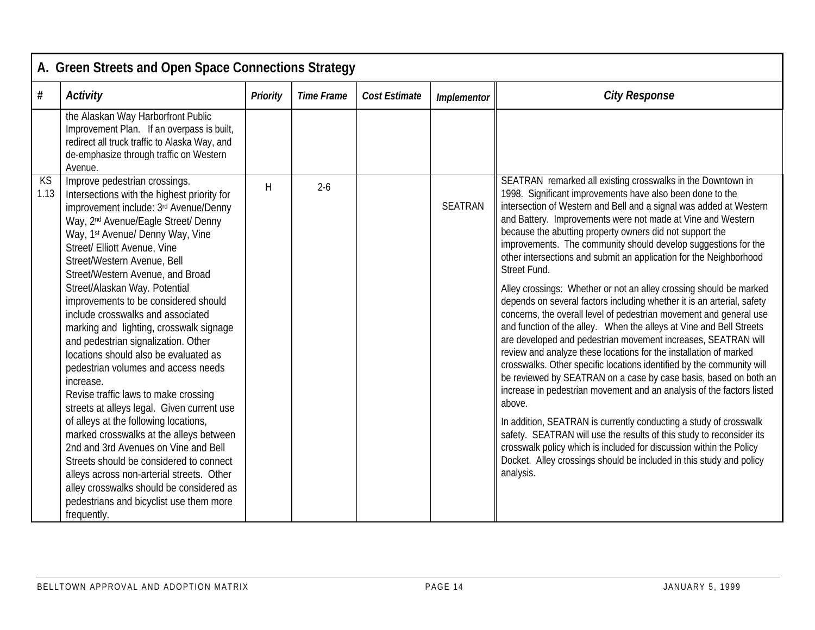|            | A. Green Streets and Open Space Connections Strategy                                                                                                                                                                                                                                                                                                                                                                                                                                                                                                                                                                                                                                                                                                                                                                                                                                                                                                                                                                                     |                 |                   |                      |                    |                                                                                                                                                                                                                                                                                                                                                                                                                                                                                                                                                                                                                                                                                                                                                                                                                                                                                                                                                                                                                                                                                                                                                                                                                                                                                                                                                                                                                                                              |  |  |  |
|------------|------------------------------------------------------------------------------------------------------------------------------------------------------------------------------------------------------------------------------------------------------------------------------------------------------------------------------------------------------------------------------------------------------------------------------------------------------------------------------------------------------------------------------------------------------------------------------------------------------------------------------------------------------------------------------------------------------------------------------------------------------------------------------------------------------------------------------------------------------------------------------------------------------------------------------------------------------------------------------------------------------------------------------------------|-----------------|-------------------|----------------------|--------------------|--------------------------------------------------------------------------------------------------------------------------------------------------------------------------------------------------------------------------------------------------------------------------------------------------------------------------------------------------------------------------------------------------------------------------------------------------------------------------------------------------------------------------------------------------------------------------------------------------------------------------------------------------------------------------------------------------------------------------------------------------------------------------------------------------------------------------------------------------------------------------------------------------------------------------------------------------------------------------------------------------------------------------------------------------------------------------------------------------------------------------------------------------------------------------------------------------------------------------------------------------------------------------------------------------------------------------------------------------------------------------------------------------------------------------------------------------------------|--|--|--|
| $\#$       | <b>Activity</b>                                                                                                                                                                                                                                                                                                                                                                                                                                                                                                                                                                                                                                                                                                                                                                                                                                                                                                                                                                                                                          | <b>Priority</b> | <b>Time Frame</b> | <b>Cost Estimate</b> | <b>Implementor</b> | <b>City Response</b>                                                                                                                                                                                                                                                                                                                                                                                                                                                                                                                                                                                                                                                                                                                                                                                                                                                                                                                                                                                                                                                                                                                                                                                                                                                                                                                                                                                                                                         |  |  |  |
|            | the Alaskan Way Harborfront Public<br>Improvement Plan. If an overpass is built,<br>redirect all truck traffic to Alaska Way, and<br>de-emphasize through traffic on Western<br>Avenue.                                                                                                                                                                                                                                                                                                                                                                                                                                                                                                                                                                                                                                                                                                                                                                                                                                                  |                 |                   |                      |                    |                                                                                                                                                                                                                                                                                                                                                                                                                                                                                                                                                                                                                                                                                                                                                                                                                                                                                                                                                                                                                                                                                                                                                                                                                                                                                                                                                                                                                                                              |  |  |  |
| KS<br>1.13 | Improve pedestrian crossings.<br>Intersections with the highest priority for<br>improvement include: 3rd Avenue/Denny<br>Way, 2 <sup>nd</sup> Avenue/Eagle Street/ Denny<br>Way, 1 <sup>st</sup> Avenue/ Denny Way, Vine<br>Street/ Elliott Avenue, Vine<br>Street/Western Avenue, Bell<br>Street/Western Avenue, and Broad<br>Street/Alaskan Way. Potential<br>improvements to be considered should<br>include crosswalks and associated<br>marking and lighting, crosswalk signage<br>and pedestrian signalization. Other<br>locations should also be evaluated as<br>pedestrian volumes and access needs<br>increase.<br>Revise traffic laws to make crossing<br>streets at alleys legal. Given current use<br>of alleys at the following locations,<br>marked crosswalks at the alleys between<br>2nd and 3rd Avenues on Vine and Bell<br>Streets should be considered to connect<br>alleys across non-arterial streets. Other<br>alley crosswalks should be considered as<br>pedestrians and bicyclist use them more<br>frequently. | $\mathsf{H}$    | $2-6$             |                      | <b>SEATRAN</b>     | SEATRAN remarked all existing crosswalks in the Downtown in<br>1998. Significant improvements have also been done to the<br>intersection of Western and Bell and a signal was added at Western<br>and Battery. Improvements were not made at Vine and Western<br>because the abutting property owners did not support the<br>improvements. The community should develop suggestions for the<br>other intersections and submit an application for the Neighborhood<br>Street Fund.<br>Alley crossings: Whether or not an alley crossing should be marked<br>depends on several factors including whether it is an arterial, safety<br>concerns, the overall level of pedestrian movement and general use<br>and function of the alley. When the alleys at Vine and Bell Streets<br>are developed and pedestrian movement increases, SEATRAN will<br>review and analyze these locations for the installation of marked<br>crosswalks. Other specific locations identified by the community will<br>be reviewed by SEATRAN on a case by case basis, based on both an<br>increase in pedestrian movement and an analysis of the factors listed<br>above.<br>In addition, SEATRAN is currently conducting a study of crosswalk<br>safety. SEATRAN will use the results of this study to reconsider its<br>crosswalk policy which is included for discussion within the Policy<br>Docket. Alley crossings should be included in this study and policy<br>analysis. |  |  |  |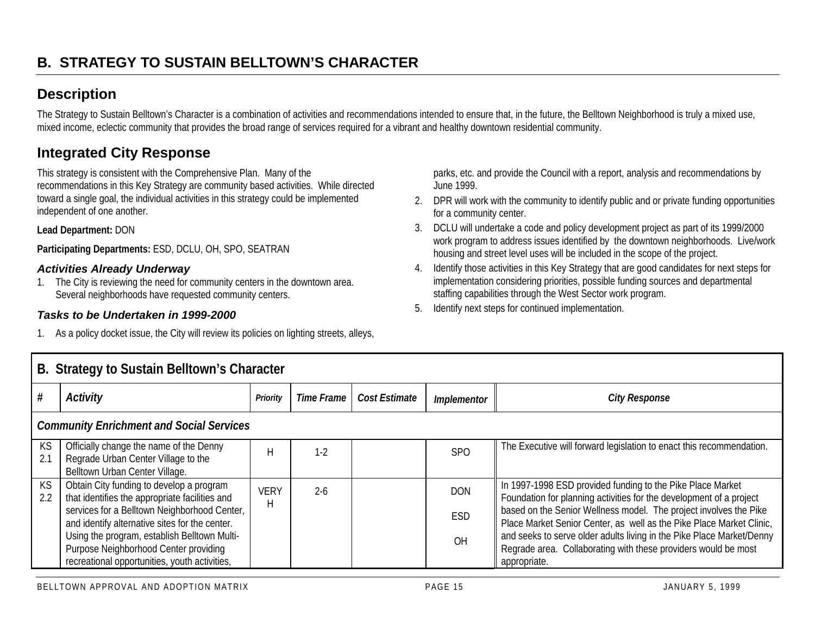## **Description**

The Strategy to Sustain Belltown's Character is a combination of activities and recommendations intended to ensure that, in the future, the Belltown Neighborhood is truly a mixed use, mixed income, eclectic community that provides the broad range of services required for a vibrant and healthy downtown residential community.

## **Integrated City Response**

This strategy is consistent with the Comprehensive Plan. Many of the recommendations in this Key Strategy are community based activities. While directed toward a single goal, the individual activities in this strategy could be implemented independent of one another.

**Lead Department:** DON

**Participating Departments:** ESD, DCLU, OH, SPO, SEATRAN

#### *Activities Already Underway*

1. The City is reviewing the need for community centers in the downtown area. Several neighborhoods have requested community centers.

#### *Tasks to be Undertaken in 1999-2000*

1. As a policy docket issue, the City will review its policies on lighting streets, alleys,

parks, etc. and provide the Council with a report, analysis and recommendations by June 1999.

- 2. DPR will work with the community to identify public and or private funding opportunities for a community center.
- 3. DCLU will undertake a code and policy development project as part of its 1999/2000 work program to address issues identified by the downtown neighborhoods. Live/work housing and street level uses will be included in the scope of the project.
- 4. Identify those activities in this Key Strategy that are good candidates for next steps for implementation considering priorities, possible funding sources and departmental staffing capabilities through the West Sector work program.
- 5. Identify next steps for continued implementation.

|                                                 | B. Strategy to Sustain Belltown's Character                                                                                                                                                                                                  |                  |            |               |                          |                                                                                                                                                                                                                                                                                                                                                         |  |  |  |
|-------------------------------------------------|----------------------------------------------------------------------------------------------------------------------------------------------------------------------------------------------------------------------------------------------|------------------|------------|---------------|--------------------------|---------------------------------------------------------------------------------------------------------------------------------------------------------------------------------------------------------------------------------------------------------------------------------------------------------------------------------------------------------|--|--|--|
| #                                               | <b>Activity</b>                                                                                                                                                                                                                              | <b>Priority</b>  | Time Frame | Cost Estimate | <b>Implementor</b>       | <b>City Response</b>                                                                                                                                                                                                                                                                                                                                    |  |  |  |
| <b>Community Enrichment and Social Services</b> |                                                                                                                                                                                                                                              |                  |            |               |                          |                                                                                                                                                                                                                                                                                                                                                         |  |  |  |
| KS<br>2.1                                       | Officially change the name of the Denny<br>Regrade Urban Center Village to the<br>Belltown Urban Center Village.                                                                                                                             | Н                | $1-2$      |               | <b>SPO</b>               | The Executive will forward legislation to enact this recommendation.                                                                                                                                                                                                                                                                                    |  |  |  |
| KS<br>2.2                                       | Obtain City funding to develop a program<br>that identifies the appropriate facilities and<br>services for a Belltown Neighborhood Center,<br>and identify alternative sites for the center.<br>Using the program, establish Belltown Multi- | <b>VERY</b><br>н | $2 - 6$    |               | <b>DON</b><br><b>ESD</b> | In 1997-1998 ESD provided funding to the Pike Place Market<br>Foundation for planning activities for the development of a project<br>based on the Senior Wellness model. The project involves the Pike<br>Place Market Senior Center, as well as the Pike Place Market Clinic,<br>and seeks to serve older adults living in the Pike Place Market/Denny |  |  |  |
|                                                 | Purpose Neighborhood Center providing<br>recreational opportunities, youth activities,                                                                                                                                                       |                  |            |               | OH                       | Regrade area. Collaborating with these providers would be most<br>appropriate.                                                                                                                                                                                                                                                                          |  |  |  |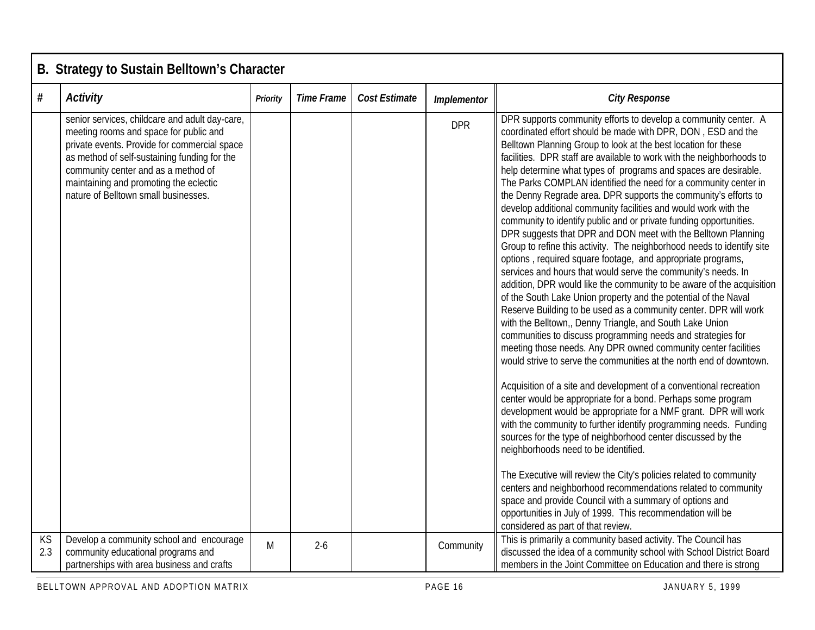|           | B. Strategy to Sustain Belltown's Character                                                                                                                                                                                                                                                                       |                 |                   |                      |             |                                                                                                                                                                                                                                                                                                                                                                                                                                                                                                                                                                                                                                                                                                                                                                                                                                                                                                                                                                                                                                                                                                                                                                                                                                                                                                                                                                                                                                                                                                                                                                                                                                                                                                                                                                                                                                                                                                                                                                                                                                                                                         |  |  |  |  |  |
|-----------|-------------------------------------------------------------------------------------------------------------------------------------------------------------------------------------------------------------------------------------------------------------------------------------------------------------------|-----------------|-------------------|----------------------|-------------|-----------------------------------------------------------------------------------------------------------------------------------------------------------------------------------------------------------------------------------------------------------------------------------------------------------------------------------------------------------------------------------------------------------------------------------------------------------------------------------------------------------------------------------------------------------------------------------------------------------------------------------------------------------------------------------------------------------------------------------------------------------------------------------------------------------------------------------------------------------------------------------------------------------------------------------------------------------------------------------------------------------------------------------------------------------------------------------------------------------------------------------------------------------------------------------------------------------------------------------------------------------------------------------------------------------------------------------------------------------------------------------------------------------------------------------------------------------------------------------------------------------------------------------------------------------------------------------------------------------------------------------------------------------------------------------------------------------------------------------------------------------------------------------------------------------------------------------------------------------------------------------------------------------------------------------------------------------------------------------------------------------------------------------------------------------------------------------------|--|--|--|--|--|
| #         | <b>Activity</b>                                                                                                                                                                                                                                                                                                   | <b>Priority</b> | <b>Time Frame</b> | <b>Cost Estimate</b> | Implementor | <b>City Response</b>                                                                                                                                                                                                                                                                                                                                                                                                                                                                                                                                                                                                                                                                                                                                                                                                                                                                                                                                                                                                                                                                                                                                                                                                                                                                                                                                                                                                                                                                                                                                                                                                                                                                                                                                                                                                                                                                                                                                                                                                                                                                    |  |  |  |  |  |
|           | senior services, childcare and adult day-care,<br>meeting rooms and space for public and<br>private events. Provide for commercial space<br>as method of self-sustaining funding for the<br>community center and as a method of<br>maintaining and promoting the eclectic<br>nature of Belltown small businesses. |                 |                   |                      | <b>DPR</b>  | DPR supports community efforts to develop a community center. A<br>coordinated effort should be made with DPR, DON, ESD and the<br>Belltown Planning Group to look at the best location for these<br>facilities. DPR staff are available to work with the neighborhoods to<br>help determine what types of programs and spaces are desirable.<br>The Parks COMPLAN identified the need for a community center in<br>the Denny Regrade area. DPR supports the community's efforts to<br>develop additional community facilities and would work with the<br>community to identify public and or private funding opportunities.<br>DPR suggests that DPR and DON meet with the Belltown Planning<br>Group to refine this activity. The neighborhood needs to identify site<br>options, required square footage, and appropriate programs,<br>services and hours that would serve the community's needs. In<br>addition, DPR would like the community to be aware of the acquisition<br>of the South Lake Union property and the potential of the Naval<br>Reserve Building to be used as a community center. DPR will work<br>with the Belltown,, Denny Triangle, and South Lake Union<br>communities to discuss programming needs and strategies for<br>meeting those needs. Any DPR owned community center facilities<br>would strive to serve the communities at the north end of downtown.<br>Acquisition of a site and development of a conventional recreation<br>center would be appropriate for a bond. Perhaps some program<br>development would be appropriate for a NMF grant. DPR will work<br>with the community to further identify programming needs. Funding<br>sources for the type of neighborhood center discussed by the<br>neighborhoods need to be identified.<br>The Executive will review the City's policies related to community<br>centers and neighborhood recommendations related to community<br>space and provide Council with a summary of options and<br>opportunities in July of 1999. This recommendation will be<br>considered as part of that review. |  |  |  |  |  |
| KS<br>2.3 | Develop a community school and encourage<br>community educational programs and<br>partnerships with area business and crafts                                                                                                                                                                                      | M               | $2-6$             |                      | Community   | This is primarily a community based activity. The Council has<br>discussed the idea of a community school with School District Board<br>members in the Joint Committee on Education and there is strong                                                                                                                                                                                                                                                                                                                                                                                                                                                                                                                                                                                                                                                                                                                                                                                                                                                                                                                                                                                                                                                                                                                                                                                                                                                                                                                                                                                                                                                                                                                                                                                                                                                                                                                                                                                                                                                                                 |  |  |  |  |  |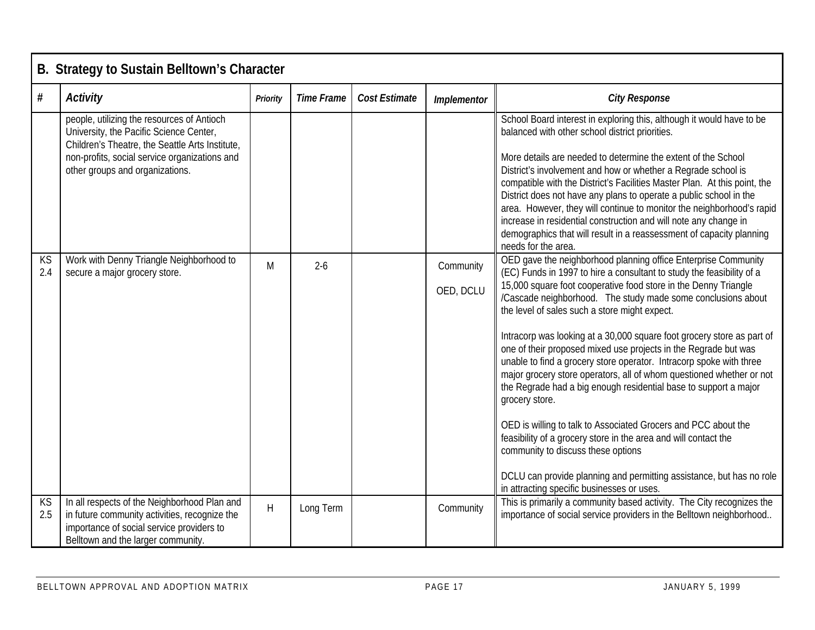|           | B. Strategy to Sustain Belltown's Character                                                                                                                                                                                  |                 |                   |               |                        |                                                                                                                                                                                                                                                                                                                                                                                                                                                                                                                                                                                                                                                                                                                                                                                                                                                                                                                                                                                                                |  |  |  |  |  |  |
|-----------|------------------------------------------------------------------------------------------------------------------------------------------------------------------------------------------------------------------------------|-----------------|-------------------|---------------|------------------------|----------------------------------------------------------------------------------------------------------------------------------------------------------------------------------------------------------------------------------------------------------------------------------------------------------------------------------------------------------------------------------------------------------------------------------------------------------------------------------------------------------------------------------------------------------------------------------------------------------------------------------------------------------------------------------------------------------------------------------------------------------------------------------------------------------------------------------------------------------------------------------------------------------------------------------------------------------------------------------------------------------------|--|--|--|--|--|--|
| $\#$      | <b>Activity</b>                                                                                                                                                                                                              | <b>Priority</b> | <b>Time Frame</b> | Cost Estimate | Implementor            | <b>City Response</b>                                                                                                                                                                                                                                                                                                                                                                                                                                                                                                                                                                                                                                                                                                                                                                                                                                                                                                                                                                                           |  |  |  |  |  |  |
|           | people, utilizing the resources of Antioch<br>University, the Pacific Science Center,<br>Children's Theatre, the Seattle Arts Institute,<br>non-profits, social service organizations and<br>other groups and organizations. |                 |                   |               |                        | School Board interest in exploring this, although it would have to be<br>balanced with other school district priorities.<br>More details are needed to determine the extent of the School<br>District's involvement and how or whether a Regrade school is<br>compatible with the District's Facilities Master Plan. At this point, the<br>District does not have any plans to operate a public school in the<br>area. However, they will continue to monitor the neighborhood's rapid<br>increase in residential construction and will note any change in<br>demographics that will result in a reassessment of capacity planning<br>needs for the area.                                                                                                                                                                                                                                                                                                                                                      |  |  |  |  |  |  |
| KS<br>2.4 | Work with Denny Triangle Neighborhood to<br>secure a major grocery store.                                                                                                                                                    | M               | $2 - 6$           |               | Community<br>OED, DCLU | OED gave the neighborhood planning office Enterprise Community<br>(EC) Funds in 1997 to hire a consultant to study the feasibility of a<br>15,000 square foot cooperative food store in the Denny Triangle<br>/Cascade neighborhood. The study made some conclusions about<br>the level of sales such a store might expect.<br>Intracorp was looking at a 30,000 square foot grocery store as part of<br>one of their proposed mixed use projects in the Regrade but was<br>unable to find a grocery store operator. Intracorp spoke with three<br>major grocery store operators, all of whom questioned whether or not<br>the Regrade had a big enough residential base to support a major<br>grocery store.<br>OED is willing to talk to Associated Grocers and PCC about the<br>feasibility of a grocery store in the area and will contact the<br>community to discuss these options<br>DCLU can provide planning and permitting assistance, but has no role<br>in attracting specific businesses or uses. |  |  |  |  |  |  |
| KS<br>2.5 | In all respects of the Neighborhood Plan and<br>in future community activities, recognize the<br>importance of social service providers to<br>Belltown and the larger community.                                             | H               | Long Term         |               | Community              | This is primarily a community based activity. The City recognizes the<br>importance of social service providers in the Belltown neighborhood                                                                                                                                                                                                                                                                                                                                                                                                                                                                                                                                                                                                                                                                                                                                                                                                                                                                   |  |  |  |  |  |  |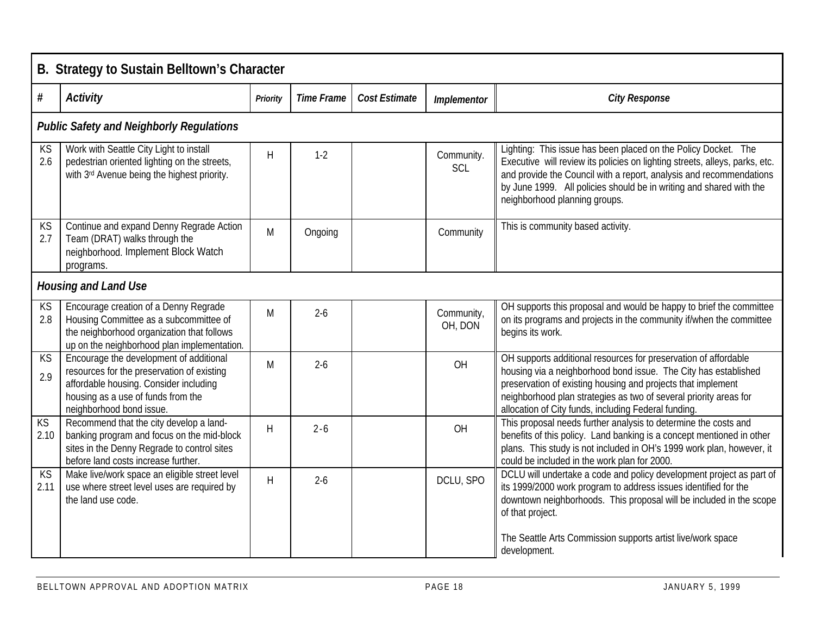|                         | B. Strategy to Sustain Belltown's Character                                                                                                                                                       |          |                   |               |                          |                                                                                                                                                                                                                                                                                                                                 |  |  |  |  |  |  |
|-------------------------|---------------------------------------------------------------------------------------------------------------------------------------------------------------------------------------------------|----------|-------------------|---------------|--------------------------|---------------------------------------------------------------------------------------------------------------------------------------------------------------------------------------------------------------------------------------------------------------------------------------------------------------------------------|--|--|--|--|--|--|
| #                       | <b>Activity</b>                                                                                                                                                                                   | Priority | <b>Time Frame</b> | Cost Estimate | Implementor              | <b>City Response</b>                                                                                                                                                                                                                                                                                                            |  |  |  |  |  |  |
|                         | <b>Public Safety and Neighborly Regulations</b>                                                                                                                                                   |          |                   |               |                          |                                                                                                                                                                                                                                                                                                                                 |  |  |  |  |  |  |
| <b>KS</b><br>2.6        | Work with Seattle City Light to install<br>pedestrian oriented lighting on the streets,<br>with 3rd Avenue being the highest priority.                                                            | H        | $1 - 2$           |               | Community.<br><b>SCL</b> | Lighting: This issue has been placed on the Policy Docket. The<br>Executive will review its policies on lighting streets, alleys, parks, etc.<br>and provide the Council with a report, analysis and recommendations<br>by June 1999. All policies should be in writing and shared with the<br>neighborhood planning groups.    |  |  |  |  |  |  |
| KS<br>2.7               | Continue and expand Denny Regrade Action<br>Team (DRAT) walks through the<br>neighborhood. Implement Block Watch<br>programs.                                                                     | M        | Ongoing           |               | Community                | This is community based activity.                                                                                                                                                                                                                                                                                               |  |  |  |  |  |  |
|                         | <b>Housing and Land Use</b>                                                                                                                                                                       |          |                   |               |                          |                                                                                                                                                                                                                                                                                                                                 |  |  |  |  |  |  |
| KS<br>2.8               | Encourage creation of a Denny Regrade<br>Housing Committee as a subcommittee of<br>the neighborhood organization that follows<br>up on the neighborhood plan implementation.                      | M        | $2 - 6$           |               | Community,<br>OH, DON    | OH supports this proposal and would be happy to brief the committee<br>on its programs and projects in the community if/when the committee<br>begins its work.                                                                                                                                                                  |  |  |  |  |  |  |
| KS<br>2.9               | Encourage the development of additional<br>resources for the preservation of existing<br>affordable housing. Consider including<br>housing as a use of funds from the<br>neighborhood bond issue. | M        | $2 - 6$           |               | OH                       | OH supports additional resources for preservation of affordable<br>housing via a neighborhood bond issue. The City has established<br>preservation of existing housing and projects that implement<br>neighborhood plan strategies as two of several priority areas for<br>allocation of City funds, including Federal funding. |  |  |  |  |  |  |
| $K\overline{S}$<br>2.10 | Recommend that the city develop a land-<br>banking program and focus on the mid-block<br>sites in the Denny Regrade to control sites<br>before land costs increase further.                       | H        | $2 - 6$           |               | OH                       | This proposal needs further analysis to determine the costs and<br>benefits of this policy. Land banking is a concept mentioned in other<br>plans. This study is not included in OH's 1999 work plan, however, it<br>could be included in the work plan for 2000.                                                               |  |  |  |  |  |  |
| KS<br>2.11              | Make live/work space an eligible street level<br>use where street level uses are required by<br>the land use code.                                                                                | H        | $2 - 6$           |               | DCLU, SPO                | DCLU will undertake a code and policy development project as part of<br>its 1999/2000 work program to address issues identified for the<br>downtown neighborhoods. This proposal will be included in the scope<br>of that project.<br>The Seattle Arts Commission supports artist live/work space<br>development.               |  |  |  |  |  |  |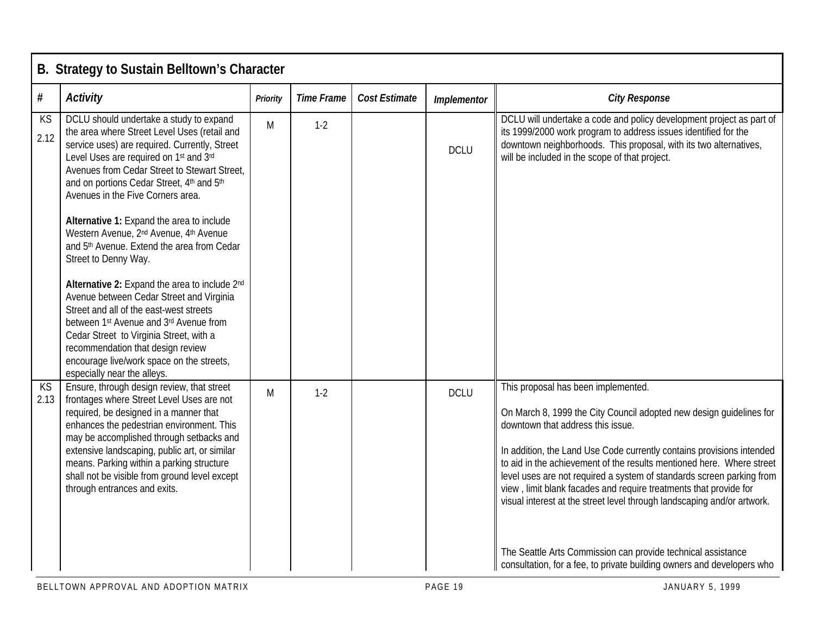|            | B. Strategy to Sustain Belltown's Character                                                                                                                                                                                                                                                                                                                                                               |          |                   |                      |             |                                                                                                                                                                                                                                                                                                                                                                                                                                                                                                                            |  |  |  |  |
|------------|-----------------------------------------------------------------------------------------------------------------------------------------------------------------------------------------------------------------------------------------------------------------------------------------------------------------------------------------------------------------------------------------------------------|----------|-------------------|----------------------|-------------|----------------------------------------------------------------------------------------------------------------------------------------------------------------------------------------------------------------------------------------------------------------------------------------------------------------------------------------------------------------------------------------------------------------------------------------------------------------------------------------------------------------------------|--|--|--|--|
| $\#$       | <b>Activity</b>                                                                                                                                                                                                                                                                                                                                                                                           | Priority | <b>Time Frame</b> | <b>Cost Estimate</b> | Implementor | <b>City Response</b>                                                                                                                                                                                                                                                                                                                                                                                                                                                                                                       |  |  |  |  |
| KS<br>2.12 | DCLU should undertake a study to expand<br>the area where Street Level Uses (retail and<br>service uses) are required. Currently, Street<br>Level Uses are required on 1st and 3rd<br>Avenues from Cedar Street to Stewart Street,<br>and on portions Cedar Street, 4th and 5th<br>Avenues in the Five Corners area.                                                                                      | M        | $1-2$             |                      | <b>DCLU</b> | DCLU will undertake a code and policy development project as part of<br>its 1999/2000 work program to address issues identified for the<br>downtown neighborhoods. This proposal, with its two alternatives,<br>will be included in the scope of that project.                                                                                                                                                                                                                                                             |  |  |  |  |
|            | Alternative 1: Expand the area to include<br>Western Avenue, 2 <sup>nd</sup> Avenue, 4 <sup>th</sup> Avenue<br>and 5th Avenue. Extend the area from Cedar<br>Street to Denny Way.                                                                                                                                                                                                                         |          |                   |                      |             |                                                                                                                                                                                                                                                                                                                                                                                                                                                                                                                            |  |  |  |  |
|            | Alternative 2: Expand the area to include 2nd<br>Avenue between Cedar Street and Virginia<br>Street and all of the east-west streets<br>between 1st Avenue and 3rd Avenue from<br>Cedar Street to Virginia Street, with a<br>recommendation that design review<br>encourage live/work space on the streets,<br>especially near the alleys.                                                                |          |                   |                      |             |                                                                                                                                                                                                                                                                                                                                                                                                                                                                                                                            |  |  |  |  |
| KS<br>2.13 | Ensure, through design review, that street<br>frontages where Street Level Uses are not<br>required, be designed in a manner that<br>enhances the pedestrian environment. This<br>may be accomplished through setbacks and<br>extensive landscaping, public art, or similar<br>means. Parking within a parking structure<br>shall not be visible from ground level except<br>through entrances and exits. | M        | $1-2$             |                      | <b>DCLU</b> | This proposal has been implemented.<br>On March 8, 1999 the City Council adopted new design guidelines for<br>downtown that address this issue.<br>In addition, the Land Use Code currently contains provisions intended<br>to aid in the achievement of the results mentioned here. Where street<br>level uses are not required a system of standards screen parking from<br>view, limit blank facades and require treatments that provide for<br>visual interest at the street level through landscaping and/or artwork. |  |  |  |  |
|            |                                                                                                                                                                                                                                                                                                                                                                                                           |          |                   |                      |             | The Seattle Arts Commission can provide technical assistance<br>consultation, for a fee, to private building owners and developers who                                                                                                                                                                                                                                                                                                                                                                                     |  |  |  |  |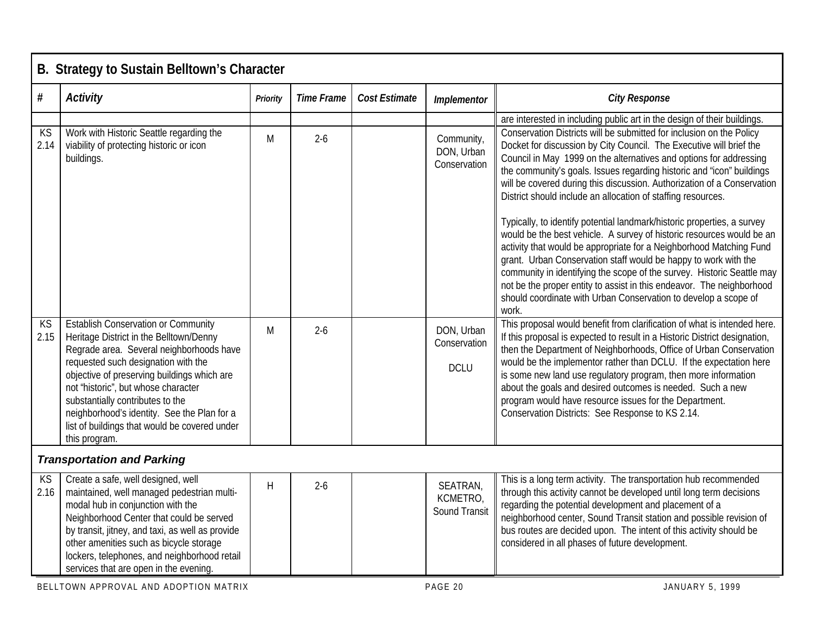|                   | B. Strategy to Sustain Belltown's Character                                                                                                                                                                                                                                                                                                                                                                         |          |                   |                      |                                           |                                                                                                                                                                                                                                                                                                                                                                                                                                                                                                                                                                                                                                                                                                                                                                                                                                                                                                                                                                                                                                                |
|-------------------|---------------------------------------------------------------------------------------------------------------------------------------------------------------------------------------------------------------------------------------------------------------------------------------------------------------------------------------------------------------------------------------------------------------------|----------|-------------------|----------------------|-------------------------------------------|------------------------------------------------------------------------------------------------------------------------------------------------------------------------------------------------------------------------------------------------------------------------------------------------------------------------------------------------------------------------------------------------------------------------------------------------------------------------------------------------------------------------------------------------------------------------------------------------------------------------------------------------------------------------------------------------------------------------------------------------------------------------------------------------------------------------------------------------------------------------------------------------------------------------------------------------------------------------------------------------------------------------------------------------|
| $\#$              | <b>Activity</b>                                                                                                                                                                                                                                                                                                                                                                                                     | Priority | <b>Time Frame</b> | <b>Cost Estimate</b> | Implementor                               | <b>City Response</b>                                                                                                                                                                                                                                                                                                                                                                                                                                                                                                                                                                                                                                                                                                                                                                                                                                                                                                                                                                                                                           |
| KS<br>2.14        | Work with Historic Seattle regarding the<br>viability of protecting historic or icon<br>buildings.                                                                                                                                                                                                                                                                                                                  | M        | $2-6$             |                      | Community,<br>DON, Urban<br>Conservation  | are interested in including public art in the design of their buildings.<br>Conservation Districts will be submitted for inclusion on the Policy<br>Docket for discussion by City Council. The Executive will brief the<br>Council in May 1999 on the alternatives and options for addressing<br>the community's goals. Issues regarding historic and "icon" buildings<br>will be covered during this discussion. Authorization of a Conservation<br>District should include an allocation of staffing resources.<br>Typically, to identify potential landmark/historic properties, a survey<br>would be the best vehicle. A survey of historic resources would be an<br>activity that would be appropriate for a Neighborhood Matching Fund<br>grant. Urban Conservation staff would be happy to work with the<br>community in identifying the scope of the survey. Historic Seattle may<br>not be the proper entity to assist in this endeavor. The neighborhood<br>should coordinate with Urban Conservation to develop a scope of<br>work. |
| <b>KS</b><br>2.15 | <b>Establish Conservation or Community</b><br>Heritage District in the Belltown/Denny<br>Regrade area. Several neighborhoods have<br>requested such designation with the<br>objective of preserving buildings which are<br>not "historic", but whose character<br>substantially contributes to the<br>neighborhood's identity. See the Plan for a<br>list of buildings that would be covered under<br>this program. | M        | $2-6$             |                      | DON, Urban<br>Conservation<br><b>DCLU</b> | This proposal would benefit from clarification of what is intended here.<br>If this proposal is expected to result in a Historic District designation,<br>then the Department of Neighborhoods, Office of Urban Conservation<br>would be the implementor rather than DCLU. If the expectation here<br>is some new land use regulatory program, then more information<br>about the goals and desired outcomes is needed. Such a new<br>program would have resource issues for the Department.<br>Conservation Districts: See Response to KS 2.14.                                                                                                                                                                                                                                                                                                                                                                                                                                                                                               |
|                   | <b>Transportation and Parking</b>                                                                                                                                                                                                                                                                                                                                                                                   |          |                   |                      |                                           |                                                                                                                                                                                                                                                                                                                                                                                                                                                                                                                                                                                                                                                                                                                                                                                                                                                                                                                                                                                                                                                |
| <b>KS</b><br>2.16 | Create a safe, well designed, well<br>maintained, well managed pedestrian multi-<br>modal hub in conjunction with the<br>Neighborhood Center that could be served<br>by transit, jitney, and taxi, as well as provide<br>other amenities such as bicycle storage<br>lockers, telephones, and neighborhood retail<br>services that are open in the evening.                                                          | H        | $2-6$             |                      | SEATRAN,<br>KCMETRO,<br>Sound Transit     | This is a long term activity. The transportation hub recommended<br>through this activity cannot be developed until long term decisions<br>regarding the potential development and placement of a<br>neighborhood center, Sound Transit station and possible revision of<br>bus routes are decided upon. The intent of this activity should be<br>considered in all phases of future development.                                                                                                                                                                                                                                                                                                                                                                                                                                                                                                                                                                                                                                              |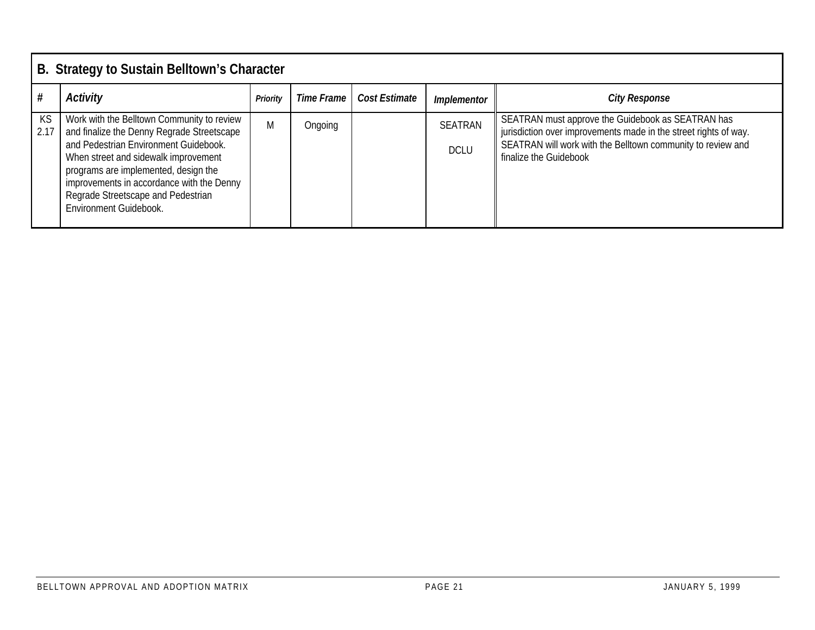|            | B. Strategy to Sustain Belltown's Character                                                                                                                                                                                                                                                                                    |                 |            |               |                               |                                                                                                                                                                                                                |  |  |  |  |  |
|------------|--------------------------------------------------------------------------------------------------------------------------------------------------------------------------------------------------------------------------------------------------------------------------------------------------------------------------------|-----------------|------------|---------------|-------------------------------|----------------------------------------------------------------------------------------------------------------------------------------------------------------------------------------------------------------|--|--|--|--|--|
|            | <b>Activity</b>                                                                                                                                                                                                                                                                                                                | <b>Priority</b> | Time Frame | Cost Estimate | <b>Implementor</b>            | <b>City Response</b>                                                                                                                                                                                           |  |  |  |  |  |
| KS<br>2.17 | Work with the Belltown Community to review<br>and finalize the Denny Regrade Streetscape<br>and Pedestrian Environment Guidebook.<br>When street and sidewalk improvement<br>programs are implemented, design the<br>improvements in accordance with the Denny<br>Regrade Streetscape and Pedestrian<br>Environment Guidebook. | M               | Ongoing    |               | <b>SEATRAN</b><br><b>DCLU</b> | SEATRAN must approve the Guidebook as SEATRAN has<br>jurisdiction over improvements made in the street rights of way.<br>SEATRAN will work with the Belltown community to review and<br>finalize the Guidebook |  |  |  |  |  |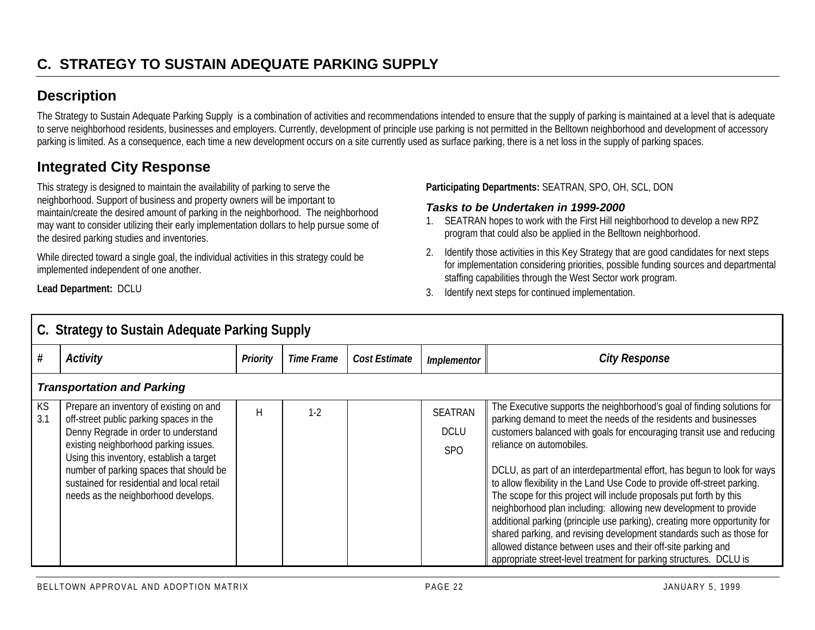## **Description**

The Strategy to Sustain Adequate Parking Supply is a combination of activities and recommendations intended to ensure that the supply of parking is maintained at a level that is adequate to serve neighborhood residents, businesses and employers. Currently, development of principle use parking is not permitted in the Belltown neighborhood and development of accessory parking is limited. As a consequence, each time a new development occurs on a site currently used as surface parking, there is a net loss in the supply of parking spaces.

## **Integrated City Response**

This strategy is designed to maintain the availability of parking to serve the neighborhood. Support of business and property owners will be important to maintain/create the desired amount of parking in the neighborhood. The neighborhood may want to consider utilizing their early implementation dollars to help pursue some of the desired parking studies and inventories.

While directed toward a single goal, the individual activities in this strategy could be implemented independent of one another.

**Lead Department:** DCLU

**Participating Departments:** SEATRAN, SPO, OH, SCL, DON

#### *Tasks to be Undertaken in 1999-2000*

- 1. SEATRAN hopes to work with the First Hill neighborhood to develop a new RPZ program that could also be applied in the Belltown neighborhood.
- 2. Identify those activities in this Key Strategy that are good candidates for next steps for implementation considering priorities, possible funding sources and departmental staffing capabilities through the West Sector work program.
- 3. Identify next steps for continued implementation.

|                  | C. Strategy to Sustain Adequate Parking Supply                                                                                                                                                                                                                                                                                                  |                 |                   |               |                                             |                                                                                                                                                                                                                                                                                                                                                                                                                                                                                                                                                                                                                                                                                                                                                                                                                                                 |  |  |  |  |  |  |
|------------------|-------------------------------------------------------------------------------------------------------------------------------------------------------------------------------------------------------------------------------------------------------------------------------------------------------------------------------------------------|-----------------|-------------------|---------------|---------------------------------------------|-------------------------------------------------------------------------------------------------------------------------------------------------------------------------------------------------------------------------------------------------------------------------------------------------------------------------------------------------------------------------------------------------------------------------------------------------------------------------------------------------------------------------------------------------------------------------------------------------------------------------------------------------------------------------------------------------------------------------------------------------------------------------------------------------------------------------------------------------|--|--|--|--|--|--|
| #                | <b>Activity</b>                                                                                                                                                                                                                                                                                                                                 | <b>Priority</b> | <b>Time Frame</b> | Cost Estimate | <b>Implementor</b>                          | <b>City Response</b>                                                                                                                                                                                                                                                                                                                                                                                                                                                                                                                                                                                                                                                                                                                                                                                                                            |  |  |  |  |  |  |
|                  | <b>Transportation and Parking</b>                                                                                                                                                                                                                                                                                                               |                 |                   |               |                                             |                                                                                                                                                                                                                                                                                                                                                                                                                                                                                                                                                                                                                                                                                                                                                                                                                                                 |  |  |  |  |  |  |
| <b>KS</b><br>3.1 | Prepare an inventory of existing on and<br>off-street public parking spaces in the<br>Denny Regrade in order to understand<br>existing neighborhood parking issues.<br>Using this inventory, establish a target<br>number of parking spaces that should be<br>sustained for residential and local retail<br>needs as the neighborhood develops. | H               | $1-2$             |               | <b>SEATRAN</b><br><b>DCLU</b><br><b>SPO</b> | The Executive supports the neighborhood's goal of finding solutions for<br>parking demand to meet the needs of the residents and businesses<br>customers balanced with goals for encouraging transit use and reducing<br>reliance on automobiles.<br>DCLU, as part of an interdepartmental effort, has begun to look for ways<br>to allow flexibility in the Land Use Code to provide off-street parking.<br>The scope for this project will include proposals put forth by this<br>neighborhood plan including: allowing new development to provide<br>additional parking (principle use parking), creating more opportunity for<br>shared parking, and revising development standards such as those for<br>allowed distance between uses and their off-site parking and<br>appropriate street-level treatment for parking structures. DCLU is |  |  |  |  |  |  |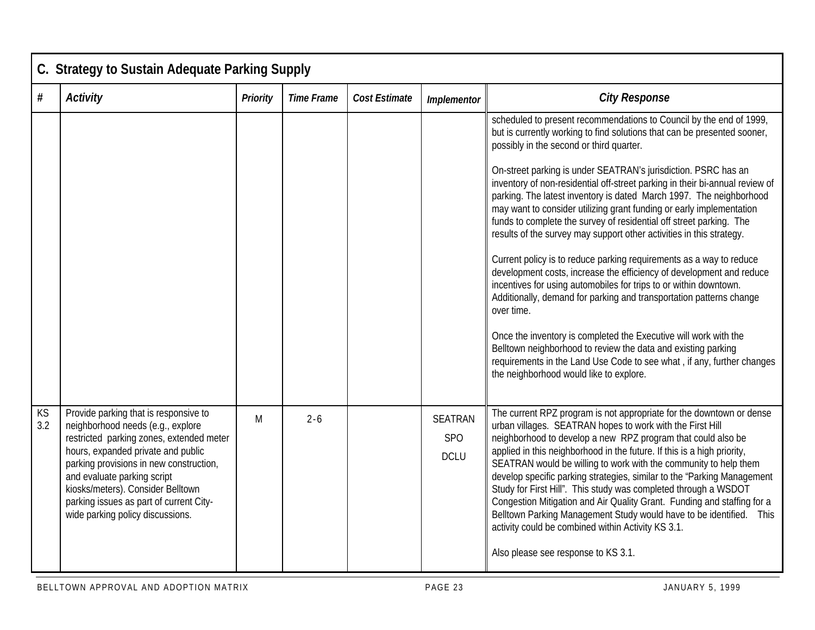|           | C. Strategy to Sustain Adequate Parking Supply                                                                                                                                                                                                                                                                                                             |                 |                   |                      |                                      |                                                                                                                                                                                                                                                                                                                                                                                                                                                                                                                                                                                                                                                                                                                                                                                                                                                                                                                                                                                                                                                                                                                                                                                                                |  |  |  |  |  |
|-----------|------------------------------------------------------------------------------------------------------------------------------------------------------------------------------------------------------------------------------------------------------------------------------------------------------------------------------------------------------------|-----------------|-------------------|----------------------|--------------------------------------|----------------------------------------------------------------------------------------------------------------------------------------------------------------------------------------------------------------------------------------------------------------------------------------------------------------------------------------------------------------------------------------------------------------------------------------------------------------------------------------------------------------------------------------------------------------------------------------------------------------------------------------------------------------------------------------------------------------------------------------------------------------------------------------------------------------------------------------------------------------------------------------------------------------------------------------------------------------------------------------------------------------------------------------------------------------------------------------------------------------------------------------------------------------------------------------------------------------|--|--|--|--|--|
| #         | <b>Activity</b>                                                                                                                                                                                                                                                                                                                                            | <b>Priority</b> | <b>Time Frame</b> | <b>Cost Estimate</b> | Implementor                          | <b>City Response</b>                                                                                                                                                                                                                                                                                                                                                                                                                                                                                                                                                                                                                                                                                                                                                                                                                                                                                                                                                                                                                                                                                                                                                                                           |  |  |  |  |  |
|           |                                                                                                                                                                                                                                                                                                                                                            |                 |                   |                      |                                      | scheduled to present recommendations to Council by the end of 1999,<br>but is currently working to find solutions that can be presented sooner,<br>possibly in the second or third quarter.<br>On-street parking is under SEATRAN's jurisdiction. PSRC has an<br>inventory of non-residential off-street parking in their bi-annual review of<br>parking. The latest inventory is dated March 1997. The neighborhood<br>may want to consider utilizing grant funding or early implementation<br>funds to complete the survey of residential off street parking. The<br>results of the survey may support other activities in this strategy.<br>Current policy is to reduce parking requirements as a way to reduce<br>development costs, increase the efficiency of development and reduce<br>incentives for using automobiles for trips to or within downtown.<br>Additionally, demand for parking and transportation patterns change<br>over time.<br>Once the inventory is completed the Executive will work with the<br>Belltown neighborhood to review the data and existing parking<br>requirements in the Land Use Code to see what, if any, further changes<br>the neighborhood would like to explore. |  |  |  |  |  |
| KS<br>3.2 | Provide parking that is responsive to<br>neighborhood needs (e.g., explore<br>restricted parking zones, extended meter<br>hours, expanded private and public<br>parking provisions in new construction,<br>and evaluate parking script<br>kiosks/meters). Consider Belltown<br>parking issues as part of current City-<br>wide parking policy discussions. | M               | $2 - 6$           |                      | <b>SEATRAN</b><br>SPO<br><b>DCLU</b> | The current RPZ program is not appropriate for the downtown or dense<br>urban villages. SEATRAN hopes to work with the First Hill<br>neighborhood to develop a new RPZ program that could also be<br>applied in this neighborhood in the future. If this is a high priority,<br>SEATRAN would be willing to work with the community to help them<br>develop specific parking strategies, similar to the "Parking Management<br>Study for First Hill". This study was completed through a WSDOT<br>Congestion Mitigation and Air Quality Grant. Funding and staffing for a<br>Belltown Parking Management Study would have to be identified. This<br>activity could be combined within Activity KS 3.1.<br>Also please see response to KS 3.1.                                                                                                                                                                                                                                                                                                                                                                                                                                                                  |  |  |  |  |  |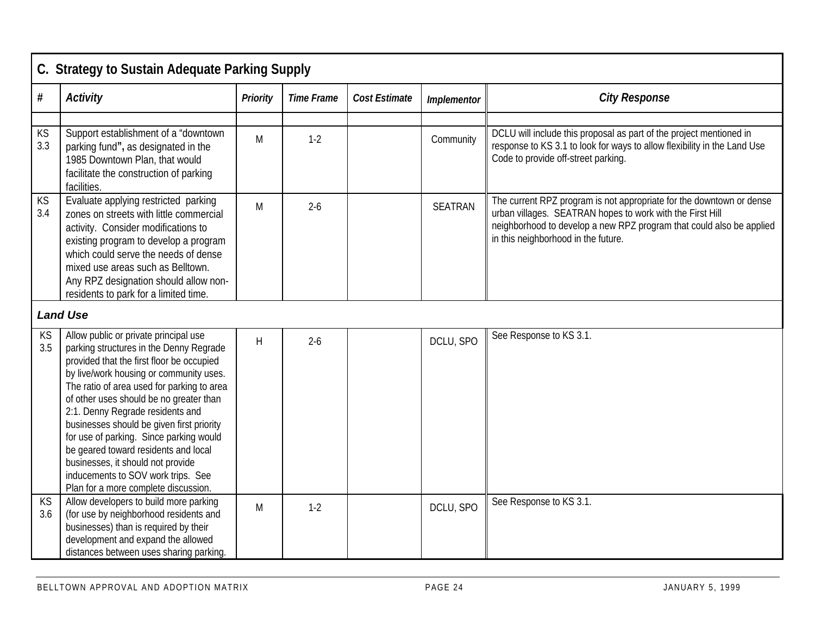|           | C. Strategy to Sustain Adequate Parking Supply                                                                                                                                                                                                                                                                                                                                                                                                                                                                                                           |                 |                   |                      |                    |                                                                                                                                                                                                                                                  |  |  |  |  |  |  |
|-----------|----------------------------------------------------------------------------------------------------------------------------------------------------------------------------------------------------------------------------------------------------------------------------------------------------------------------------------------------------------------------------------------------------------------------------------------------------------------------------------------------------------------------------------------------------------|-----------------|-------------------|----------------------|--------------------|--------------------------------------------------------------------------------------------------------------------------------------------------------------------------------------------------------------------------------------------------|--|--|--|--|--|--|
| $\#$      | <b>Activity</b>                                                                                                                                                                                                                                                                                                                                                                                                                                                                                                                                          | <b>Priority</b> | <b>Time Frame</b> | <b>Cost Estimate</b> | <b>Implementor</b> | <b>City Response</b>                                                                                                                                                                                                                             |  |  |  |  |  |  |
|           |                                                                                                                                                                                                                                                                                                                                                                                                                                                                                                                                                          |                 |                   |                      |                    |                                                                                                                                                                                                                                                  |  |  |  |  |  |  |
| KS<br>3.3 | Support establishment of a "downtown<br>parking fund", as designated in the<br>1985 Downtown Plan, that would<br>facilitate the construction of parking<br>facilities.                                                                                                                                                                                                                                                                                                                                                                                   | M               | $1-2$             |                      | Community          | DCLU will include this proposal as part of the project mentioned in<br>response to KS 3.1 to look for ways to allow flexibility in the Land Use<br>Code to provide off-street parking.                                                           |  |  |  |  |  |  |
| KS<br>3.4 | Evaluate applying restricted parking<br>zones on streets with little commercial<br>activity. Consider modifications to<br>existing program to develop a program<br>which could serve the needs of dense<br>mixed use areas such as Belltown.<br>Any RPZ designation should allow non-<br>residents to park for a limited time.                                                                                                                                                                                                                           | M               | $2 - 6$           |                      | <b>SEATRAN</b>     | The current RPZ program is not appropriate for the downtown or dense<br>urban villages. SEATRAN hopes to work with the First Hill<br>neighborhood to develop a new RPZ program that could also be applied<br>in this neighborhood in the future. |  |  |  |  |  |  |
|           | <b>Land Use</b>                                                                                                                                                                                                                                                                                                                                                                                                                                                                                                                                          |                 |                   |                      |                    |                                                                                                                                                                                                                                                  |  |  |  |  |  |  |
| KS<br>3.5 | Allow public or private principal use<br>parking structures in the Denny Regrade<br>provided that the first floor be occupied<br>by live/work housing or community uses.<br>The ratio of area used for parking to area<br>of other uses should be no greater than<br>2:1. Denny Regrade residents and<br>businesses should be given first priority<br>for use of parking. Since parking would<br>be geared toward residents and local<br>businesses, it should not provide<br>inducements to SOV work trips. See<br>Plan for a more complete discussion. | H               | $2 - 6$           |                      | DCLU, SPO          | See Response to KS 3.1.                                                                                                                                                                                                                          |  |  |  |  |  |  |
| KS<br>3.6 | Allow developers to build more parking<br>(for use by neighborhood residents and<br>businesses) than is required by their<br>development and expand the allowed<br>distances between uses sharing parking.                                                                                                                                                                                                                                                                                                                                               | M               | $1-2$             |                      | DCLU, SPO          | See Response to KS 3.1.                                                                                                                                                                                                                          |  |  |  |  |  |  |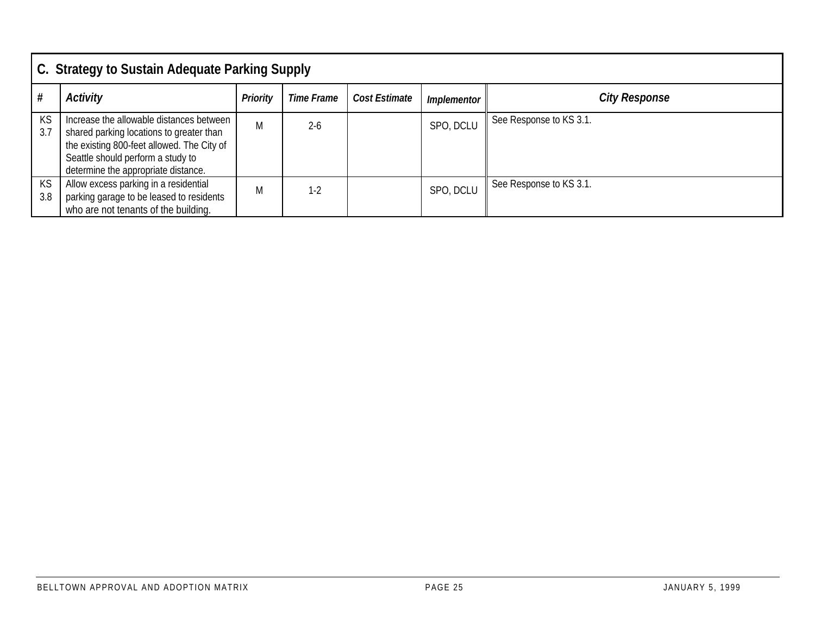|           | C. Strategy to Sustain Adequate Parking Supply                                                                                                                                                                 |                 |            |               |                    |                         |  |  |  |  |  |
|-----------|----------------------------------------------------------------------------------------------------------------------------------------------------------------------------------------------------------------|-----------------|------------|---------------|--------------------|-------------------------|--|--|--|--|--|
| #         | <b>Activity</b>                                                                                                                                                                                                | <b>Priority</b> | Time Frame | Cost Estimate | <b>Implementor</b> | <b>City Response</b>    |  |  |  |  |  |
| KS<br>3.7 | Increase the allowable distances between<br>shared parking locations to greater than<br>the existing 800-feet allowed. The City of<br>Seattle should perform a study to<br>determine the appropriate distance. | M               | $2 - 6$    |               | SPO, DCLU          | See Response to KS 3.1. |  |  |  |  |  |
| KS<br>3.8 | Allow excess parking in a residential<br>parking garage to be leased to residents<br>who are not tenants of the building.                                                                                      | M               | $1-2$      |               | SPO, DCLU          | See Response to KS 3.1. |  |  |  |  |  |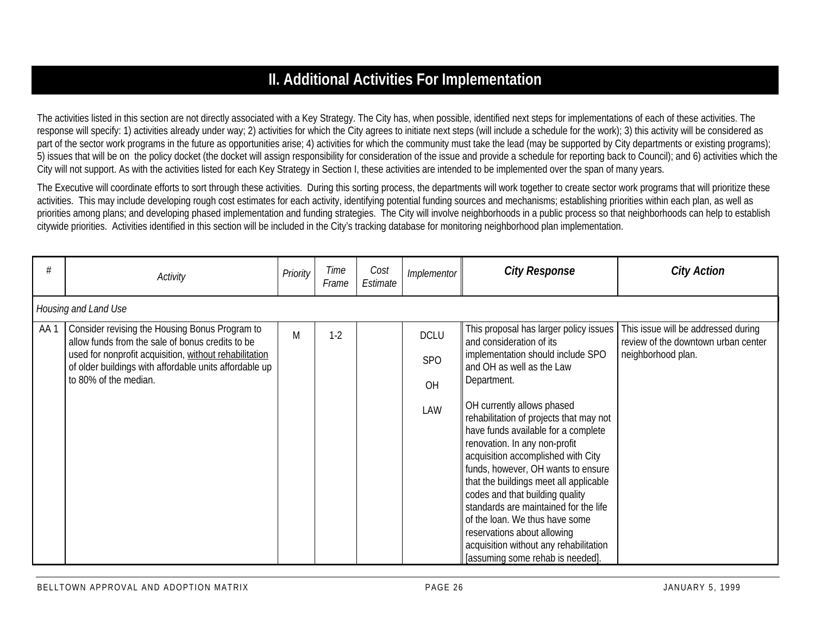## **II. Additional Activities For Implementation**

The activities listed in this section are not directly associated with a Key Strategy. The City has, when possible, identified next steps for implementations of each of these activities. The response will specify: 1) activities already under way; 2) activities for which the City agrees to initiate next steps (will include a schedule for the work); 3) this activity will be considered as part of the sector work programs in the future as opportunities arise; 4) activities for which the community must take the lead (may be supported by City departments or existing programs); 5) issues that will be on the policy docket (the docket will assign responsibility for consideration of the issue and provide a schedule for reporting back to Council); and 6) activities which the City will not support. As with the activities listed for each Key Strategy in Section I, these activities are intended to be implemented over the span of many years.

The Executive will coordinate efforts to sort through these activities. During this sorting process, the departments will work together to create sector work programs that will prioritize these activities. This may include developing rough cost estimates for each activity, identifying potential funding sources and mechanisms; establishing priorities within each plan, as well as priorities among plans; and developing phased implementation and funding strategies. The City will involve neighborhoods in a public process so that neighborhoods can help to establish citywide priorities. Activities identified in this section will be included in the City's tracking database for monitoring neighborhood plan implementation.

| #   | Activity                                                                                                                                                     | Priority | Time<br>Frame | Cost<br>Estimate | <i>Implementor</i> | <b>City Response</b>                                                                                                                                                                                                                                                                                                                                                                                                                                                                           | <b>City Action</b>                                                                               |
|-----|--------------------------------------------------------------------------------------------------------------------------------------------------------------|----------|---------------|------------------|--------------------|------------------------------------------------------------------------------------------------------------------------------------------------------------------------------------------------------------------------------------------------------------------------------------------------------------------------------------------------------------------------------------------------------------------------------------------------------------------------------------------------|--------------------------------------------------------------------------------------------------|
|     | Housing and Land Use                                                                                                                                         |          |               |                  |                    |                                                                                                                                                                                                                                                                                                                                                                                                                                                                                                |                                                                                                  |
| AA1 | Consider revising the Housing Bonus Program to<br>allow funds from the sale of bonus credits to be<br>used for nonprofit acquisition, without rehabilitation | M        | $1-2$         |                  | <b>DCLU</b>        | This proposal has larger policy issues<br>and consideration of its<br>implementation should include SPO                                                                                                                                                                                                                                                                                                                                                                                        | This issue will be addressed during<br>review of the downtown urban center<br>neighborhood plan. |
|     | of older buildings with affordable units affordable up<br>to 80% of the median.                                                                              |          |               |                  | SPO<br>OH          | and OH as well as the Law<br>Department.                                                                                                                                                                                                                                                                                                                                                                                                                                                       |                                                                                                  |
|     |                                                                                                                                                              |          |               |                  | LAW                | OH currently allows phased<br>rehabilitation of projects that may not<br>have funds available for a complete<br>renovation. In any non-profit<br>acquisition accomplished with City<br>funds, however, OH wants to ensure<br>that the buildings meet all applicable<br>codes and that building quality<br>standards are maintained for the life<br>of the loan. We thus have some<br>reservations about allowing<br>acquisition without any rehabilitation<br>[assuming some rehab is needed]. |                                                                                                  |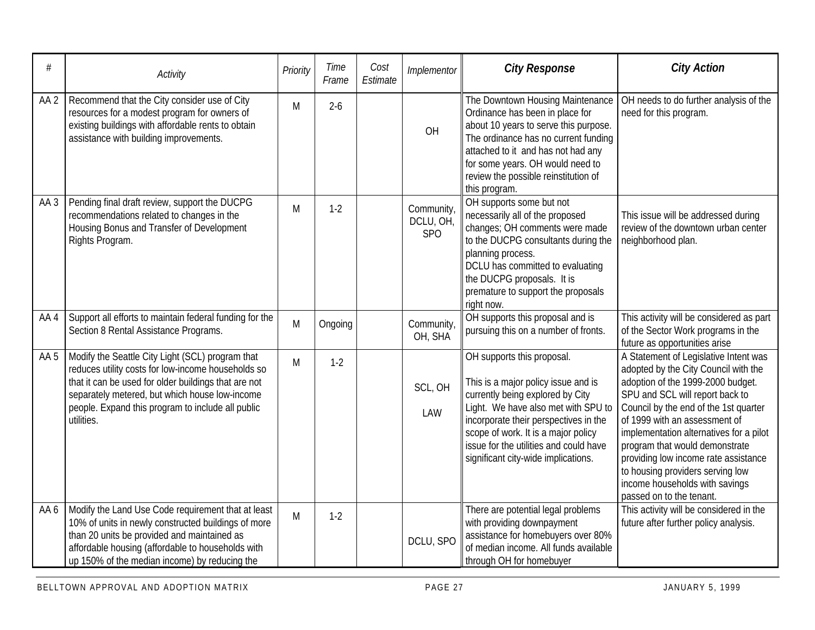| #               | Activity                                                                                                                                                                                                                                                                            | Priority | Time<br>Frame | Cost<br>Estimate | Implementor                    | <b>City Response</b>                                                                                                                                                                                                                                                                                          | <b>City Action</b>                                                                                                                                                                                                                                                                                                                                                                                                                                     |
|-----------------|-------------------------------------------------------------------------------------------------------------------------------------------------------------------------------------------------------------------------------------------------------------------------------------|----------|---------------|------------------|--------------------------------|---------------------------------------------------------------------------------------------------------------------------------------------------------------------------------------------------------------------------------------------------------------------------------------------------------------|--------------------------------------------------------------------------------------------------------------------------------------------------------------------------------------------------------------------------------------------------------------------------------------------------------------------------------------------------------------------------------------------------------------------------------------------------------|
| AA <sub>2</sub> | Recommend that the City consider use of City<br>resources for a modest program for owners of<br>existing buildings with affordable rents to obtain<br>assistance with building improvements.                                                                                        | M        | $2-6$         |                  | OH                             | The Downtown Housing Maintenance<br>Ordinance has been in place for<br>about 10 years to serve this purpose.<br>The ordinance has no current funding<br>attached to it and has not had any<br>for some years. OH would need to<br>review the possible reinstitution of<br>this program.                       | OH needs to do further analysis of the<br>need for this program.                                                                                                                                                                                                                                                                                                                                                                                       |
| AA <sub>3</sub> | Pending final draft review, support the DUCPG<br>recommendations related to changes in the<br>Housing Bonus and Transfer of Development<br>Rights Program.                                                                                                                          | M        | $1-2$         |                  | Community,<br>DCLU, OH,<br>SPO | OH supports some but not<br>necessarily all of the proposed<br>changes; OH comments were made<br>to the DUCPG consultants during the<br>planning process.<br>DCLU has committed to evaluating<br>the DUCPG proposals. It is<br>premature to support the proposals<br>right now.                               | This issue will be addressed during<br>review of the downtown urban center<br>neighborhood plan.                                                                                                                                                                                                                                                                                                                                                       |
| AA4             | Support all efforts to maintain federal funding for the<br>Section 8 Rental Assistance Programs.                                                                                                                                                                                    | M        | Ongoing       |                  | Community,<br>OH, SHA          | OH supports this proposal and is<br>pursuing this on a number of fronts.                                                                                                                                                                                                                                      | This activity will be considered as part<br>of the Sector Work programs in the<br>future as opportunities arise                                                                                                                                                                                                                                                                                                                                        |
| AA 5            | Modify the Seattle City Light (SCL) program that<br>reduces utility costs for low-income households so<br>that it can be used for older buildings that are not<br>separately metered, but which house low-income<br>people. Expand this program to include all public<br>utilities. | M        | $1-2$         |                  | SCL, OH<br>LAW                 | OH supports this proposal.<br>This is a major policy issue and is<br>currently being explored by City<br>Light. We have also met with SPU to<br>incorporate their perspectives in the<br>scope of work. It is a major policy<br>issue for the utilities and could have<br>significant city-wide implications. | A Statement of Legislative Intent was<br>adopted by the City Council with the<br>adoption of the 1999-2000 budget.<br>SPU and SCL will report back to<br>Council by the end of the 1st quarter<br>of 1999 with an assessment of<br>implementation alternatives for a pilot<br>program that would demonstrate<br>providing low income rate assistance<br>to housing providers serving low<br>income households with savings<br>passed on to the tenant. |
| AA 6            | Modify the Land Use Code requirement that at least<br>10% of units in newly constructed buildings of more<br>than 20 units be provided and maintained as<br>affordable housing (affordable to households with<br>up 150% of the median income) by reducing the                      | M        | $1-2$         |                  | DCLU, SPO                      | There are potential legal problems<br>with providing downpayment<br>assistance for homebuyers over 80%<br>of median income. All funds available<br>through OH for homebuyer                                                                                                                                   | This activity will be considered in the<br>future after further policy analysis.                                                                                                                                                                                                                                                                                                                                                                       |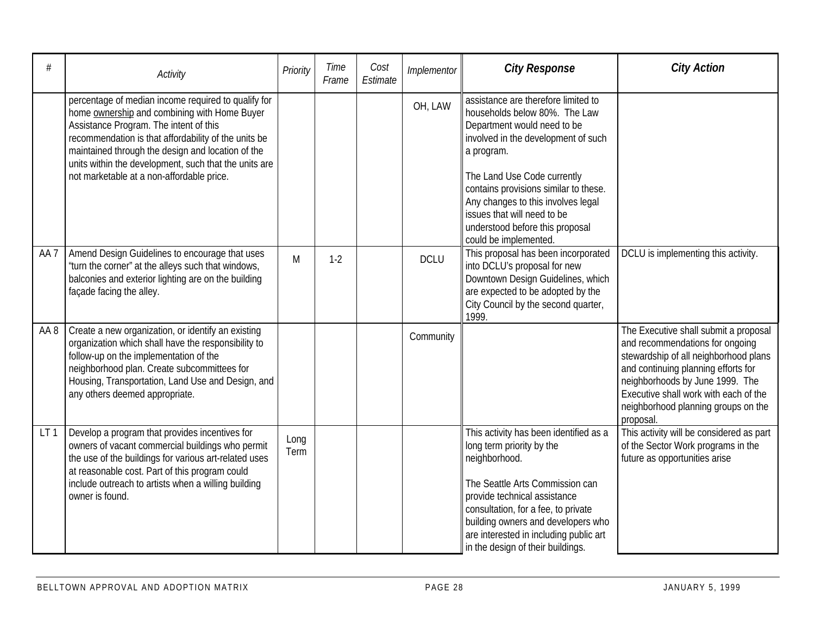| #               | Activity                                                                                                                                                                                                                                                                                                                                                         | Priority     | Time<br>Frame | Cost<br>Estimate | Implementor | <b>City Response</b>                                                                                                                                                                                                                                                                                                                                              | <b>City Action</b>                                                                                                                                                                                                                                                                       |
|-----------------|------------------------------------------------------------------------------------------------------------------------------------------------------------------------------------------------------------------------------------------------------------------------------------------------------------------------------------------------------------------|--------------|---------------|------------------|-------------|-------------------------------------------------------------------------------------------------------------------------------------------------------------------------------------------------------------------------------------------------------------------------------------------------------------------------------------------------------------------|------------------------------------------------------------------------------------------------------------------------------------------------------------------------------------------------------------------------------------------------------------------------------------------|
|                 | percentage of median income required to qualify for<br>home ownership and combining with Home Buyer<br>Assistance Program. The intent of this<br>recommendation is that affordability of the units be<br>maintained through the design and location of the<br>units within the development, such that the units are<br>not marketable at a non-affordable price. |              |               |                  | OH, LAW     | assistance are therefore limited to<br>households below 80%. The Law<br>Department would need to be<br>involved in the development of such<br>a program.<br>The Land Use Code currently<br>contains provisions similar to these.<br>Any changes to this involves legal<br>issues that will need to be<br>understood before this proposal<br>could be implemented. |                                                                                                                                                                                                                                                                                          |
| AA <sub>7</sub> | Amend Design Guidelines to encourage that uses<br>"turn the corner" at the alleys such that windows,<br>balconies and exterior lighting are on the building<br>façade facing the alley.                                                                                                                                                                          | M            | $1-2$         |                  | <b>DCLU</b> | This proposal has been incorporated<br>into DCLU's proposal for new<br>Downtown Design Guidelines, which<br>are expected to be adopted by the<br>City Council by the second quarter,<br>1999.                                                                                                                                                                     | DCLU is implementing this activity.                                                                                                                                                                                                                                                      |
| AA 8            | Create a new organization, or identify an existing<br>organization which shall have the responsibility to<br>follow-up on the implementation of the<br>neighborhood plan. Create subcommittees for<br>Housing, Transportation, Land Use and Design, and<br>any others deemed appropriate.                                                                        |              |               |                  | Community   |                                                                                                                                                                                                                                                                                                                                                                   | The Executive shall submit a proposal<br>and recommendations for ongoing<br>stewardship of all neighborhood plans<br>and continuing planning efforts for<br>neighborhoods by June 1999. The<br>Executive shall work with each of the<br>neighborhood planning groups on the<br>proposal. |
| LT <sub>1</sub> | Develop a program that provides incentives for<br>owners of vacant commercial buildings who permit<br>the use of the buildings for various art-related uses<br>at reasonable cost. Part of this program could<br>include outreach to artists when a willing building<br>owner is found.                                                                          | Long<br>Term |               |                  |             | This activity has been identified as a<br>long term priority by the<br>neighborhood.<br>The Seattle Arts Commission can<br>provide technical assistance<br>consultation, for a fee, to private<br>building owners and developers who<br>are interested in including public art<br>in the design of their buildings.                                               | This activity will be considered as part<br>of the Sector Work programs in the<br>future as opportunities arise                                                                                                                                                                          |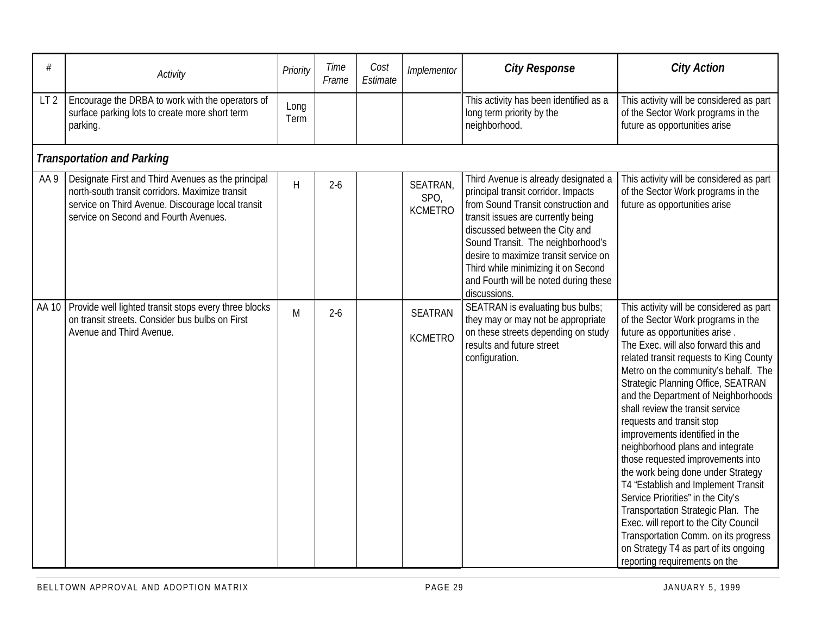| #               | Activity                                                                                                                                                                                            | Priority     | Time<br>Frame | Cost<br>Estimate | Implementor                        | <b>City Response</b>                                                                                                                                                                                                                                                                                                                                                     | <b>City Action</b>                                                                                                                                                                                                                                                                                                                                                                                                                                                                                                                                                                                                                                                                                                                                                                                                      |  |  |  |  |  |  |
|-----------------|-----------------------------------------------------------------------------------------------------------------------------------------------------------------------------------------------------|--------------|---------------|------------------|------------------------------------|--------------------------------------------------------------------------------------------------------------------------------------------------------------------------------------------------------------------------------------------------------------------------------------------------------------------------------------------------------------------------|-------------------------------------------------------------------------------------------------------------------------------------------------------------------------------------------------------------------------------------------------------------------------------------------------------------------------------------------------------------------------------------------------------------------------------------------------------------------------------------------------------------------------------------------------------------------------------------------------------------------------------------------------------------------------------------------------------------------------------------------------------------------------------------------------------------------------|--|--|--|--|--|--|
| LT <sub>2</sub> | Encourage the DRBA to work with the operators of<br>surface parking lots to create more short term<br>parking.                                                                                      | Long<br>Term |               |                  |                                    | This activity has been identified as a<br>long term priority by the<br>neighborhood.                                                                                                                                                                                                                                                                                     | This activity will be considered as part<br>of the Sector Work programs in the<br>future as opportunities arise                                                                                                                                                                                                                                                                                                                                                                                                                                                                                                                                                                                                                                                                                                         |  |  |  |  |  |  |
|                 | <b>Transportation and Parking</b>                                                                                                                                                                   |              |               |                  |                                    |                                                                                                                                                                                                                                                                                                                                                                          |                                                                                                                                                                                                                                                                                                                                                                                                                                                                                                                                                                                                                                                                                                                                                                                                                         |  |  |  |  |  |  |
| AA 9            | Designate First and Third Avenues as the principal<br>north-south transit corridors. Maximize transit<br>service on Third Avenue. Discourage local transit<br>service on Second and Fourth Avenues. | $\mathsf{H}$ | $2-6$         |                  | SEATRAN,<br>SPO,<br><b>KCMETRO</b> | Third Avenue is already designated a<br>principal transit corridor. Impacts<br>from Sound Transit construction and<br>transit issues are currently being<br>discussed between the City and<br>Sound Transit. The neighborhood's<br>desire to maximize transit service on<br>Third while minimizing it on Second<br>and Fourth will be noted during these<br>discussions. | This activity will be considered as part<br>of the Sector Work programs in the<br>future as opportunities arise                                                                                                                                                                                                                                                                                                                                                                                                                                                                                                                                                                                                                                                                                                         |  |  |  |  |  |  |
|                 | AA 10   Provide well lighted transit stops every three blocks<br>on transit streets. Consider bus bulbs on First<br>Avenue and Third Avenue.                                                        | M            | $2 - 6$       |                  | <b>SEATRAN</b><br><b>KCMETRO</b>   | SEATRAN is evaluating bus bulbs;<br>they may or may not be appropriate<br>on these streets depending on study<br>results and future street<br>configuration.                                                                                                                                                                                                             | This activity will be considered as part<br>of the Sector Work programs in the<br>future as opportunities arise.<br>The Exec. will also forward this and<br>related transit requests to King County<br>Metro on the community's behalf. The<br>Strategic Planning Office, SEATRAN<br>and the Department of Neighborhoods<br>shall review the transit service<br>requests and transit stop<br>improvements identified in the<br>neighborhood plans and integrate<br>those requested improvements into<br>the work being done under Strategy<br>T4 "Establish and Implement Transit<br>Service Priorities" in the City's<br>Transportation Strategic Plan. The<br>Exec. will report to the City Council<br>Transportation Comm. on its progress<br>on Strategy T4 as part of its ongoing<br>reporting requirements on the |  |  |  |  |  |  |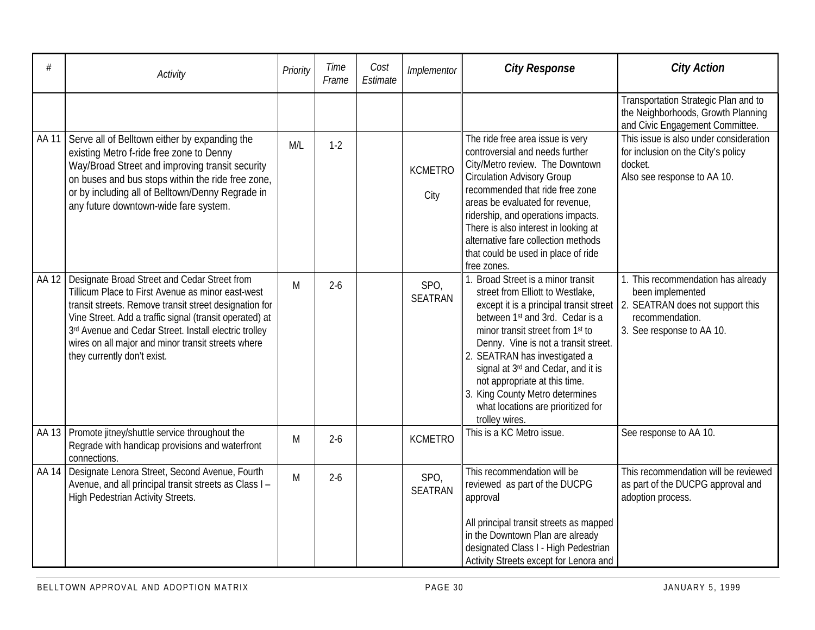| #     | Activity                                                                                                                                                                                                                                                                                                                                                             | Priority | Time<br>Frame | Cost<br>Estimate | Implementor            | <b>City Response</b>                                                                                                                                                                                                                                                                                                                                                                                                                            | <b>City Action</b>                                                                                                                         |
|-------|----------------------------------------------------------------------------------------------------------------------------------------------------------------------------------------------------------------------------------------------------------------------------------------------------------------------------------------------------------------------|----------|---------------|------------------|------------------------|-------------------------------------------------------------------------------------------------------------------------------------------------------------------------------------------------------------------------------------------------------------------------------------------------------------------------------------------------------------------------------------------------------------------------------------------------|--------------------------------------------------------------------------------------------------------------------------------------------|
|       |                                                                                                                                                                                                                                                                                                                                                                      |          |               |                  |                        |                                                                                                                                                                                                                                                                                                                                                                                                                                                 | Transportation Strategic Plan and to<br>the Neighborhoods, Growth Planning<br>and Civic Engagement Committee.                              |
| AA 11 | Serve all of Belltown either by expanding the<br>existing Metro f-ride free zone to Denny<br>Way/Broad Street and improving transit security<br>on buses and bus stops within the ride free zone,<br>or by including all of Belltown/Denny Regrade in<br>any future downtown-wide fare system.                                                                       | M/L      | $1-2$         |                  | <b>KCMETRO</b><br>City | The ride free area issue is very<br>controversial and needs further<br>City/Metro review. The Downtown<br><b>Circulation Advisory Group</b><br>recommended that ride free zone<br>areas be evaluated for revenue.<br>ridership, and operations impacts.<br>There is also interest in looking at<br>alternative fare collection methods<br>that could be used in place of ride<br>free zones.                                                    | This issue is also under consideration<br>for inclusion on the City's policy<br>docket.<br>Also see response to AA 10.                     |
| AA 12 | Designate Broad Street and Cedar Street from<br>Tillicum Place to First Avenue as minor east-west<br>transit streets. Remove transit street designation for<br>Vine Street. Add a traffic signal (transit operated) at<br>3rd Avenue and Cedar Street. Install electric trolley<br>wires on all major and minor transit streets where<br>they currently don't exist. | M        | $2 - 6$       |                  | SPO,<br><b>SEATRAN</b> | 1. Broad Street is a minor transit<br>street from Elliott to Westlake,<br>except it is a principal transit street<br>between 1 <sup>st</sup> and 3rd. Cedar is a<br>minor transit street from 1st to<br>Denny. Vine is not a transit street.<br>2. SEATRAN has investigated a<br>signal at 3rd and Cedar, and it is<br>not appropriate at this time.<br>3. King County Metro determines<br>what locations are prioritized for<br>trolley wires. | 1. This recommendation has already<br>been implemented<br>2. SEATRAN does not support this<br>recommendation.<br>3. See response to AA 10. |
| AA 13 | Promote jitney/shuttle service throughout the<br>Regrade with handicap provisions and waterfront<br>connections.                                                                                                                                                                                                                                                     | M        | $2 - 6$       |                  | <b>KCMETRO</b>         | This is a KC Metro issue.                                                                                                                                                                                                                                                                                                                                                                                                                       | See response to AA 10.                                                                                                                     |
| AA 14 | Designate Lenora Street, Second Avenue, Fourth<br>Avenue, and all principal transit streets as Class I -<br><b>High Pedestrian Activity Streets.</b>                                                                                                                                                                                                                 | M        | $2 - 6$       |                  | SPO,<br><b>SEATRAN</b> | This recommendation will be<br>reviewed as part of the DUCPG<br>approval<br>All principal transit streets as mapped<br>in the Downtown Plan are already<br>designated Class I - High Pedestrian<br>Activity Streets except for Lenora and                                                                                                                                                                                                       | This recommendation will be reviewed<br>as part of the DUCPG approval and<br>adoption process.                                             |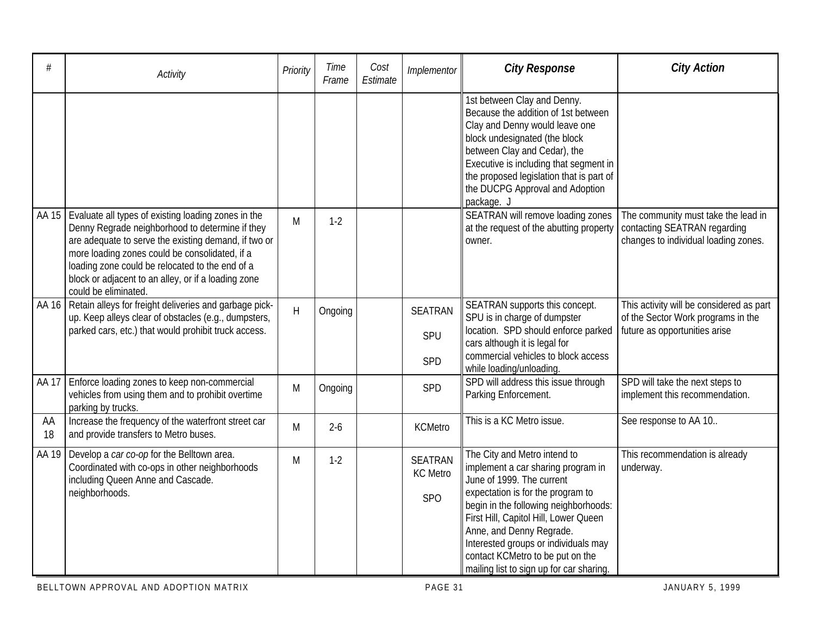| #        | Activity                                                                                                                                                                                                                                                                                                                                           | Priority | Time<br>Frame | Cost<br>Estimate | Implementor                              | <b>City Response</b>                                                                                                                                                                                                                                                                                                                                                       | <b>City Action</b>                                                                                              |
|----------|----------------------------------------------------------------------------------------------------------------------------------------------------------------------------------------------------------------------------------------------------------------------------------------------------------------------------------------------------|----------|---------------|------------------|------------------------------------------|----------------------------------------------------------------------------------------------------------------------------------------------------------------------------------------------------------------------------------------------------------------------------------------------------------------------------------------------------------------------------|-----------------------------------------------------------------------------------------------------------------|
|          |                                                                                                                                                                                                                                                                                                                                                    |          |               |                  |                                          | 1st between Clay and Denny.<br>Because the addition of 1st between<br>Clay and Denny would leave one<br>block undesignated (the block<br>between Clay and Cedar), the<br>Executive is including that segment in<br>the proposed legislation that is part of<br>the DUCPG Approval and Adoption<br>package. J                                                               |                                                                                                                 |
| AA 15    | Evaluate all types of existing loading zones in the<br>Denny Regrade neighborhood to determine if they<br>are adequate to serve the existing demand, if two or<br>more loading zones could be consolidated, if a<br>loading zone could be relocated to the end of a<br>block or adjacent to an alley, or if a loading zone<br>could be eliminated. | M        | $1-2$         |                  |                                          | SEATRAN will remove loading zones<br>at the request of the abutting property<br>owner.                                                                                                                                                                                                                                                                                     | The community must take the lead in<br>contacting SEATRAN regarding<br>changes to individual loading zones.     |
|          | AA 16 Retain alleys for freight deliveries and garbage pick-<br>up. Keep alleys clear of obstacles (e.g., dumpsters,<br>parked cars, etc.) that would prohibit truck access.                                                                                                                                                                       | $\sf H$  | Ongoing       |                  | <b>SEATRAN</b><br>SPU<br><b>SPD</b>      | SEATRAN supports this concept.<br>SPU is in charge of dumpster<br>location. SPD should enforce parked<br>cars although it is legal for<br>commercial vehicles to block access<br>while loading/unloading.                                                                                                                                                                  | This activity will be considered as part<br>of the Sector Work programs in the<br>future as opportunities arise |
| AA 17    | Enforce loading zones to keep non-commercial<br>vehicles from using them and to prohibit overtime<br>parking by trucks.                                                                                                                                                                                                                            | M        | Ongoing       |                  | SPD                                      | SPD will address this issue through<br>Parking Enforcement.                                                                                                                                                                                                                                                                                                                | SPD will take the next steps to<br>implement this recommendation.                                               |
| AA<br>18 | Increase the frequency of the waterfront street car<br>and provide transfers to Metro buses.                                                                                                                                                                                                                                                       | M        | $2-6$         |                  | <b>KCMetro</b>                           | This is a KC Metro issue.                                                                                                                                                                                                                                                                                                                                                  | See response to AA 10                                                                                           |
| AA 19    | Develop a car co-op for the Belltown area.<br>Coordinated with co-ops in other neighborhoods<br>including Queen Anne and Cascade.<br>neighborhoods.                                                                                                                                                                                                | M        | $1-2$         |                  | <b>SEATRAN</b><br><b>KC</b> Metro<br>SPO | The City and Metro intend to<br>implement a car sharing program in<br>June of 1999. The current<br>expectation is for the program to<br>begin in the following neighborhoods:<br>First Hill, Capitol Hill, Lower Queen<br>Anne, and Denny Regrade.<br>Interested groups or individuals may<br>contact KCMetro to be put on the<br>mailing list to sign up for car sharing. | This recommendation is already<br>underway.                                                                     |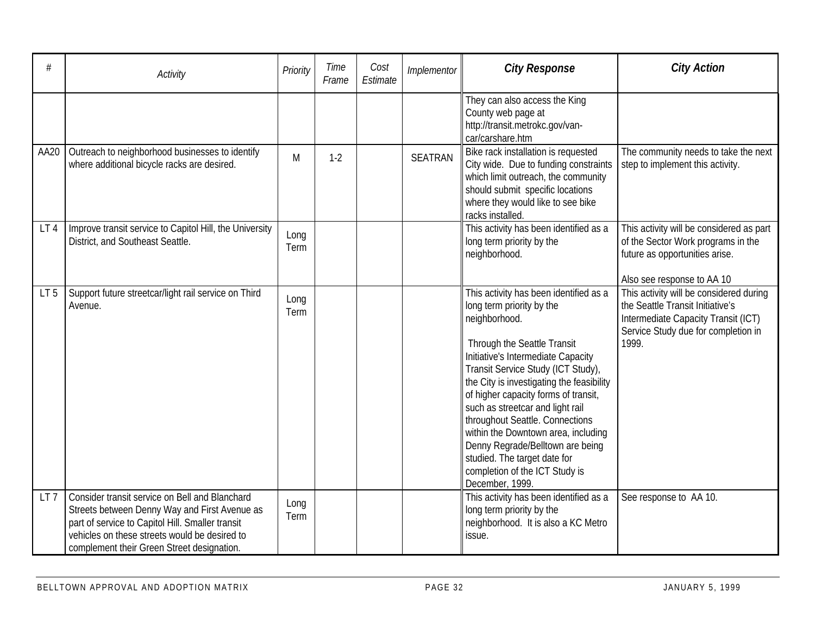| #               | Activity                                                                                                                                                                                                                                           | Priority     | Time<br>Frame | Cost<br>Estimate | Implementor    | <b>City Response</b>                                                                                                                                                                                                                                                                                                                                                                                                                                                                                                        | <b>City Action</b>                                                                                                                                                                               |
|-----------------|----------------------------------------------------------------------------------------------------------------------------------------------------------------------------------------------------------------------------------------------------|--------------|---------------|------------------|----------------|-----------------------------------------------------------------------------------------------------------------------------------------------------------------------------------------------------------------------------------------------------------------------------------------------------------------------------------------------------------------------------------------------------------------------------------------------------------------------------------------------------------------------------|--------------------------------------------------------------------------------------------------------------------------------------------------------------------------------------------------|
|                 |                                                                                                                                                                                                                                                    |              |               |                  |                | They can also access the King<br>County web page at<br>http://transit.metrokc.gov/van-<br>car/carshare.htm                                                                                                                                                                                                                                                                                                                                                                                                                  |                                                                                                                                                                                                  |
| AA20            | Outreach to neighborhood businesses to identify<br>where additional bicycle racks are desired.                                                                                                                                                     | M            | $1-2$         |                  | <b>SEATRAN</b> | Bike rack installation is requested<br>City wide. Due to funding constraints<br>which limit outreach, the community<br>should submit specific locations<br>where they would like to see bike<br>racks installed.                                                                                                                                                                                                                                                                                                            | The community needs to take the next<br>step to implement this activity.                                                                                                                         |
| LT4             | Improve transit service to Capitol Hill, the University<br>District, and Southeast Seattle.                                                                                                                                                        | Long<br>Term |               |                  |                | This activity has been identified as a<br>long term priority by the<br>neighborhood.                                                                                                                                                                                                                                                                                                                                                                                                                                        | This activity will be considered as part<br>of the Sector Work programs in the<br>future as opportunities arise.                                                                                 |
| LT <sub>5</sub> | Support future streetcar/light rail service on Third<br>Avenue.                                                                                                                                                                                    | Long<br>Term |               |                  |                | This activity has been identified as a<br>long term priority by the<br>neighborhood.<br>Through the Seattle Transit<br>Initiative's Intermediate Capacity<br>Transit Service Study (ICT Study),<br>the City is investigating the feasibility<br>of higher capacity forms of transit,<br>such as streetcar and light rail<br>throughout Seattle. Connections<br>within the Downtown area, including<br>Denny Regrade/Belltown are being<br>studied. The target date for<br>completion of the ICT Study is<br>December, 1999. | Also see response to AA 10<br>This activity will be considered during<br>the Seattle Transit Initiative's<br>Intermediate Capacity Transit (ICT)<br>Service Study due for completion in<br>1999. |
| LT <sub>7</sub> | Consider transit service on Bell and Blanchard<br>Streets between Denny Way and First Avenue as<br>part of service to Capitol Hill. Smaller transit<br>vehicles on these streets would be desired to<br>complement their Green Street designation. | Long<br>Term |               |                  |                | This activity has been identified as a<br>long term priority by the<br>neighborhood. It is also a KC Metro<br>issue.                                                                                                                                                                                                                                                                                                                                                                                                        | See response to AA 10.                                                                                                                                                                           |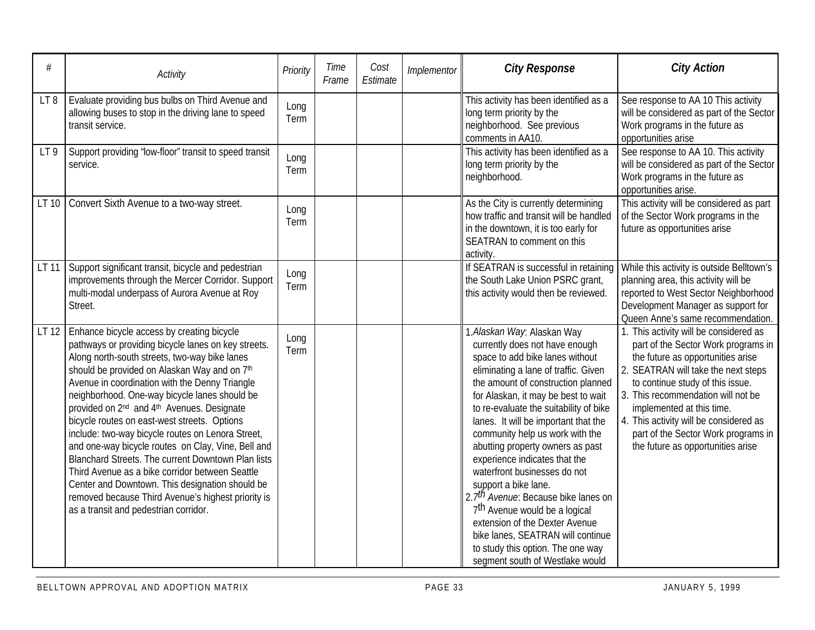| #               | Activity                                                                                                                                                                                                                                                                                                                                                                                                                                                                                                                                                                                                                                                                                                                                                                                          | Priority     | Time<br>Frame | Cost<br>Estimate | Implementor | <b>City Response</b>                                                                                                                                                                                                                                                                                                                                                                                                                                                                                                                                                                                                                                                                                                   | <b>City Action</b>                                                                                                                                                                                                                                                                                                                                                                     |
|-----------------|---------------------------------------------------------------------------------------------------------------------------------------------------------------------------------------------------------------------------------------------------------------------------------------------------------------------------------------------------------------------------------------------------------------------------------------------------------------------------------------------------------------------------------------------------------------------------------------------------------------------------------------------------------------------------------------------------------------------------------------------------------------------------------------------------|--------------|---------------|------------------|-------------|------------------------------------------------------------------------------------------------------------------------------------------------------------------------------------------------------------------------------------------------------------------------------------------------------------------------------------------------------------------------------------------------------------------------------------------------------------------------------------------------------------------------------------------------------------------------------------------------------------------------------------------------------------------------------------------------------------------------|----------------------------------------------------------------------------------------------------------------------------------------------------------------------------------------------------------------------------------------------------------------------------------------------------------------------------------------------------------------------------------------|
| LT8             | Evaluate providing bus bulbs on Third Avenue and<br>allowing buses to stop in the driving lane to speed<br>transit service.                                                                                                                                                                                                                                                                                                                                                                                                                                                                                                                                                                                                                                                                       | Long<br>Term |               |                  |             | This activity has been identified as a<br>long term priority by the<br>neighborhood. See previous<br>comments in AA10.                                                                                                                                                                                                                                                                                                                                                                                                                                                                                                                                                                                                 | See response to AA 10 This activity<br>will be considered as part of the Sector<br>Work programs in the future as<br>opportunities arise                                                                                                                                                                                                                                               |
| LT <sub>9</sub> | Support providing "low-floor" transit to speed transit<br>service.                                                                                                                                                                                                                                                                                                                                                                                                                                                                                                                                                                                                                                                                                                                                | Long<br>Term |               |                  |             | This activity has been identified as a<br>long term priority by the<br>neighborhood.                                                                                                                                                                                                                                                                                                                                                                                                                                                                                                                                                                                                                                   | See response to AA 10. This activity<br>will be considered as part of the Sector<br>Work programs in the future as<br>opportunities arise.                                                                                                                                                                                                                                             |
| LT 10           | Convert Sixth Avenue to a two-way street.                                                                                                                                                                                                                                                                                                                                                                                                                                                                                                                                                                                                                                                                                                                                                         | Long<br>Term |               |                  |             | As the City is currently determining<br>how traffic and transit will be handled<br>in the downtown, it is too early for<br>SEATRAN to comment on this<br>activity.                                                                                                                                                                                                                                                                                                                                                                                                                                                                                                                                                     | This activity will be considered as part<br>of the Sector Work programs in the<br>future as opportunities arise                                                                                                                                                                                                                                                                        |
| LT 11           | Support significant transit, bicycle and pedestrian<br>improvements through the Mercer Corridor. Support<br>multi-modal underpass of Aurora Avenue at Roy<br>Street.                                                                                                                                                                                                                                                                                                                                                                                                                                                                                                                                                                                                                              | Long<br>Term |               |                  |             | If SEATRAN is successful in retaining<br>the South Lake Union PSRC grant,<br>this activity would then be reviewed.                                                                                                                                                                                                                                                                                                                                                                                                                                                                                                                                                                                                     | While this activity is outside Belltown's<br>planning area, this activity will be<br>reported to West Sector Neighborhood<br>Development Manager as support for<br>Queen Anne's same recommendation.                                                                                                                                                                                   |
| LT 12           | Enhance bicycle access by creating bicycle<br>pathways or providing bicycle lanes on key streets.<br>Along north-south streets, two-way bike lanes<br>should be provided on Alaskan Way and on 7th<br>Avenue in coordination with the Denny Triangle<br>neighborhood. One-way bicycle lanes should be<br>provided on 2 <sup>nd</sup> and 4 <sup>th</sup> Avenues. Designate<br>bicycle routes on east-west streets. Options<br>include: two-way bicycle routes on Lenora Street,<br>and one-way bicycle routes on Clay, Vine, Bell and<br>Blanchard Streets. The current Downtown Plan lists<br>Third Avenue as a bike corridor between Seattle<br>Center and Downtown. This designation should be<br>removed because Third Avenue's highest priority is<br>as a transit and pedestrian corridor. | Long<br>Term |               |                  |             | 1. Alaskan Way: Alaskan Way<br>currently does not have enough<br>space to add bike lanes without<br>eliminating a lane of traffic. Given<br>the amount of construction planned<br>for Alaskan, it may be best to wait<br>to re-evaluate the suitability of bike<br>lanes. It will be important that the<br>community help us work with the<br>abutting property owners as past<br>experience indicates that the<br>waterfront businesses do not<br>support a bike lane.<br>2.7 <sup>th</sup> Avenue: Because bike lanes on<br>7 <sup>th</sup> Avenue would be a logical<br>extension of the Dexter Avenue<br>bike lanes, SEATRAN will continue<br>to study this option. The one way<br>segment south of Westlake would | 1. This activity will be considered as<br>part of the Sector Work programs in<br>the future as opportunities arise<br>2. SEATRAN will take the next steps<br>to continue study of this issue.<br>3. This recommendation will not be<br>implemented at this time.<br>4. This activity will be considered as<br>part of the Sector Work programs in<br>the future as opportunities arise |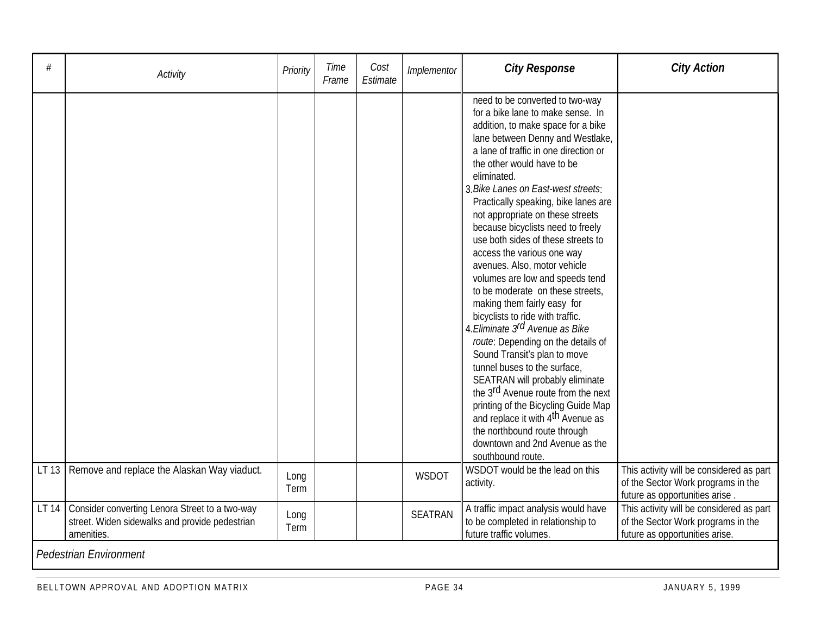| #     | Activity                                                                                                       | Priority     | Time<br>Frame | Cost<br>Estimate | Implementor    | <b>City Response</b>                                                                                                                                                                                                                                                                                                                                                                                                                                                                                                                                                                                                                                                                                                                                                                                                                                                                                                                                                                                                                                    | <b>City Action</b>                                                                                               |
|-------|----------------------------------------------------------------------------------------------------------------|--------------|---------------|------------------|----------------|---------------------------------------------------------------------------------------------------------------------------------------------------------------------------------------------------------------------------------------------------------------------------------------------------------------------------------------------------------------------------------------------------------------------------------------------------------------------------------------------------------------------------------------------------------------------------------------------------------------------------------------------------------------------------------------------------------------------------------------------------------------------------------------------------------------------------------------------------------------------------------------------------------------------------------------------------------------------------------------------------------------------------------------------------------|------------------------------------------------------------------------------------------------------------------|
|       |                                                                                                                |              |               |                  |                | need to be converted to two-way<br>for a bike lane to make sense. In<br>addition, to make space for a bike<br>lane between Denny and Westlake,<br>a lane of traffic in one direction or<br>the other would have to be<br>eliminated.<br>3. Bike Lanes on East-west streets:<br>Practically speaking, bike lanes are<br>not appropriate on these streets<br>because bicyclists need to freely<br>use both sides of these streets to<br>access the various one way<br>avenues. Also, motor vehicle<br>volumes are low and speeds tend<br>to be moderate on these streets,<br>making them fairly easy for<br>bicyclists to ride with traffic.<br>4. Eliminate 3rd Avenue as Bike<br>route: Depending on the details of<br>Sound Transit's plan to move<br>tunnel buses to the surface,<br>SEATRAN will probably eliminate<br>the 3 <sup>rd</sup> Avenue route from the next<br>printing of the Bicycling Guide Map<br>and replace it with 4 <sup>th</sup> Avenue as<br>the northbound route through<br>downtown and 2nd Avenue as the<br>southbound route. |                                                                                                                  |
|       | LT 13   Remove and replace the Alaskan Way viaduct.                                                            | Long<br>Term |               |                  | <b>WSDOT</b>   | WSDOT would be the lead on this<br>activity.                                                                                                                                                                                                                                                                                                                                                                                                                                                                                                                                                                                                                                                                                                                                                                                                                                                                                                                                                                                                            | This activity will be considered as part<br>of the Sector Work programs in the<br>future as opportunities arise  |
| LT 14 | Consider converting Lenora Street to a two-way<br>street. Widen sidewalks and provide pedestrian<br>amenities. | Long<br>Term |               |                  | <b>SEATRAN</b> | A traffic impact analysis would have<br>to be completed in relationship to<br>future traffic volumes.                                                                                                                                                                                                                                                                                                                                                                                                                                                                                                                                                                                                                                                                                                                                                                                                                                                                                                                                                   | This activity will be considered as part<br>of the Sector Work programs in the<br>future as opportunities arise. |
|       | <b>Pedestrian Environment</b>                                                                                  |              |               |                  |                |                                                                                                                                                                                                                                                                                                                                                                                                                                                                                                                                                                                                                                                                                                                                                                                                                                                                                                                                                                                                                                                         |                                                                                                                  |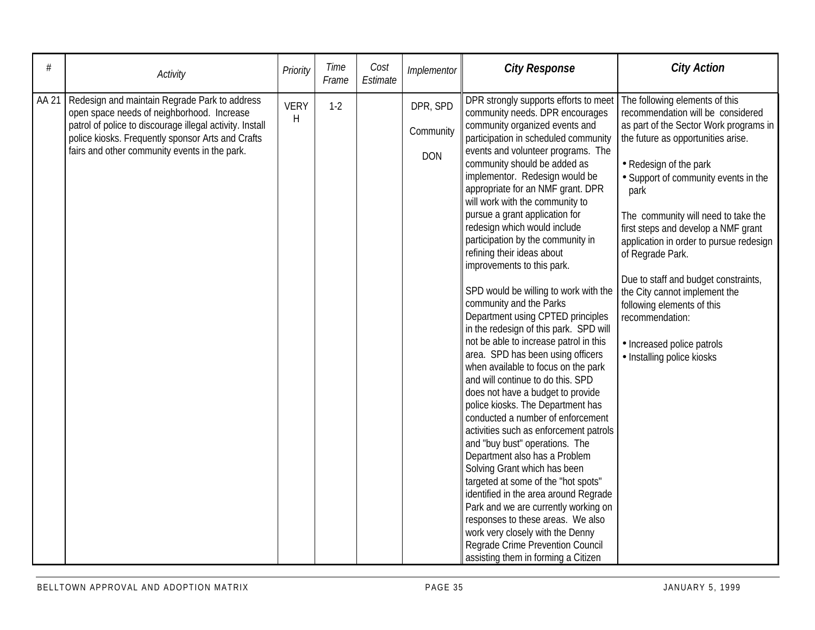| #     | Activity                                                                                                                                                                                                                                                      | Priority         | Time<br>Frame | Cost<br>Estimate | Implementor                         | <b>City Response</b>                                                                                                                                                                                                                                                                                                                                                                                                                                                                                                                                                                                                                                                                                                                                                                                                                                                                                                                                                                                                                                                                                                                                                                                                                                                                                                                                        | <b>City Action</b>                                                                                                                                                                                                                                                                                                                                                                                                                                                                                                                                               |
|-------|---------------------------------------------------------------------------------------------------------------------------------------------------------------------------------------------------------------------------------------------------------------|------------------|---------------|------------------|-------------------------------------|-------------------------------------------------------------------------------------------------------------------------------------------------------------------------------------------------------------------------------------------------------------------------------------------------------------------------------------------------------------------------------------------------------------------------------------------------------------------------------------------------------------------------------------------------------------------------------------------------------------------------------------------------------------------------------------------------------------------------------------------------------------------------------------------------------------------------------------------------------------------------------------------------------------------------------------------------------------------------------------------------------------------------------------------------------------------------------------------------------------------------------------------------------------------------------------------------------------------------------------------------------------------------------------------------------------------------------------------------------------|------------------------------------------------------------------------------------------------------------------------------------------------------------------------------------------------------------------------------------------------------------------------------------------------------------------------------------------------------------------------------------------------------------------------------------------------------------------------------------------------------------------------------------------------------------------|
| AA 21 | Redesign and maintain Regrade Park to address<br>open space needs of neighborhood. Increase<br>patrol of police to discourage illegal activity. Install<br>police kiosks. Frequently sponsor Arts and Crafts<br>fairs and other community events in the park. | <b>VERY</b><br>H | $1 - 2$       |                  | DPR, SPD<br>Community<br><b>DON</b> | DPR strongly supports efforts to meet<br>community needs. DPR encourages<br>community organized events and<br>participation in scheduled community<br>events and volunteer programs. The<br>community should be added as<br>implementor. Redesign would be<br>appropriate for an NMF grant. DPR<br>will work with the community to<br>pursue a grant application for<br>redesign which would include<br>participation by the community in<br>refining their ideas about<br>improvements to this park.<br>SPD would be willing to work with the<br>community and the Parks<br>Department using CPTED principles<br>in the redesign of this park. SPD will<br>not be able to increase patrol in this<br>area. SPD has been using officers<br>when available to focus on the park<br>and will continue to do this. SPD<br>does not have a budget to provide<br>police kiosks. The Department has<br>conducted a number of enforcement<br>activities such as enforcement patrols<br>and "buy bust" operations. The<br>Department also has a Problem<br>Solving Grant which has been<br>targeted at some of the "hot spots"<br>identified in the area around Regrade<br>Park and we are currently working on<br>responses to these areas. We also<br>work very closely with the Denny<br>Regrade Crime Prevention Council<br>assisting them in forming a Citizen | The following elements of this<br>recommendation will be considered<br>as part of the Sector Work programs in<br>the future as opportunities arise.<br>• Redesign of the park<br>• Support of community events in the<br>park<br>The community will need to take the<br>first steps and develop a NMF grant<br>application in order to pursue redesign<br>of Regrade Park.<br>Due to staff and budget constraints,<br>the City cannot implement the<br>following elements of this<br>recommendation:<br>• Increased police patrols<br>· Installing police kiosks |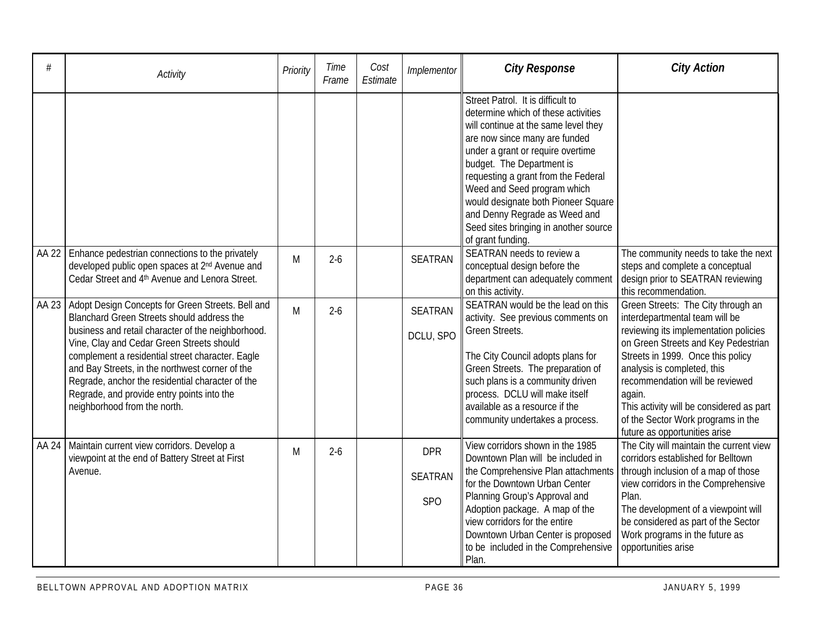|       | Activity                                                                                                                                                                                                                                                                                                                                                                                                                                    | Priority | Time<br>Frame | Cost<br>Estimate | Implementor                         | <b>City Response</b>                                                                                                                                                                                                                                                                                                                                                                                                            | <b>City Action</b>                                                                                                                                                                                                                                                                                                                                                                       |
|-------|---------------------------------------------------------------------------------------------------------------------------------------------------------------------------------------------------------------------------------------------------------------------------------------------------------------------------------------------------------------------------------------------------------------------------------------------|----------|---------------|------------------|-------------------------------------|---------------------------------------------------------------------------------------------------------------------------------------------------------------------------------------------------------------------------------------------------------------------------------------------------------------------------------------------------------------------------------------------------------------------------------|------------------------------------------------------------------------------------------------------------------------------------------------------------------------------------------------------------------------------------------------------------------------------------------------------------------------------------------------------------------------------------------|
|       |                                                                                                                                                                                                                                                                                                                                                                                                                                             |          |               |                  |                                     | Street Patrol. It is difficult to<br>determine which of these activities<br>will continue at the same level they<br>are now since many are funded<br>under a grant or require overtime<br>budget. The Department is<br>requesting a grant from the Federal<br>Weed and Seed program which<br>would designate both Pioneer Square<br>and Denny Regrade as Weed and<br>Seed sites bringing in another source<br>of grant funding. |                                                                                                                                                                                                                                                                                                                                                                                          |
| AA 22 | Enhance pedestrian connections to the privately<br>developed public open spaces at 2 <sup>nd</sup> Avenue and<br>Cedar Street and 4th Avenue and Lenora Street.                                                                                                                                                                                                                                                                             | M        | $2 - 6$       |                  | <b>SEATRAN</b>                      | SEATRAN needs to review a<br>conceptual design before the<br>department can adequately comment<br>on this activity.                                                                                                                                                                                                                                                                                                             | The community needs to take the next<br>steps and complete a conceptual<br>design prior to SEATRAN reviewing<br>this recommendation.                                                                                                                                                                                                                                                     |
| AA 23 | Adopt Design Concepts for Green Streets. Bell and<br>Blanchard Green Streets should address the<br>business and retail character of the neighborhood.<br>Vine, Clay and Cedar Green Streets should<br>complement a residential street character. Eagle<br>and Bay Streets, in the northwest corner of the<br>Regrade, anchor the residential character of the<br>Regrade, and provide entry points into the<br>neighborhood from the north. | M        | $2 - 6$       |                  | <b>SEATRAN</b><br>DCLU, SPO         | SEATRAN would be the lead on this<br>activity. See previous comments on<br>Green Streets.<br>The City Council adopts plans for<br>Green Streets. The preparation of<br>such plans is a community driven<br>process. DCLU will make itself<br>available as a resource if the<br>community undertakes a process.                                                                                                                  | Green Streets: The City through an<br>interdepartmental team will be<br>reviewing its implementation policies<br>on Green Streets and Key Pedestrian<br>Streets in 1999. Once this policy<br>analysis is completed, this<br>recommendation will be reviewed<br>again.<br>This activity will be considered as part<br>of the Sector Work programs in the<br>future as opportunities arise |
| AA 24 | Maintain current view corridors. Develop a<br>viewpoint at the end of Battery Street at First<br>Avenue.                                                                                                                                                                                                                                                                                                                                    | M        | $2 - 6$       |                  | <b>DPR</b><br><b>SEATRAN</b><br>SPO | View corridors shown in the 1985<br>Downtown Plan will be included in<br>the Comprehensive Plan attachments<br>for the Downtown Urban Center<br>Planning Group's Approval and<br>Adoption package. A map of the<br>view corridors for the entire<br>Downtown Urban Center is proposed<br>to be included in the Comprehensive<br>Plan.                                                                                           | The City will maintain the current view<br>corridors established for Belltown<br>through inclusion of a map of those<br>view corridors in the Comprehensive<br>Plan.<br>The development of a viewpoint will<br>be considered as part of the Sector<br>Work programs in the future as<br>opportunities arise                                                                              |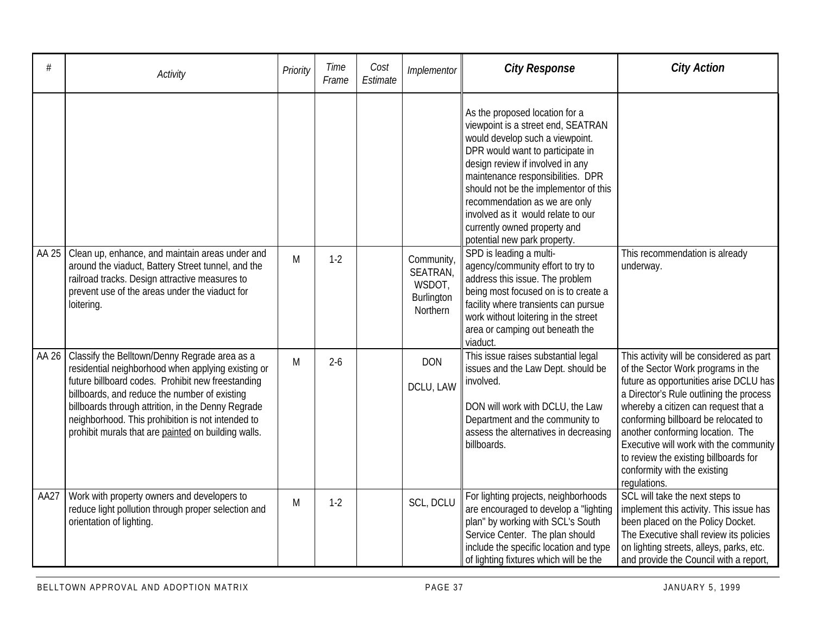| #     | Activity                                                                                                                                                                                                                                                                                                                                                                    | Priority | Time<br>Frame | Cost<br>Estimate | Implementor                                                | <b>City Response</b>                                                                                                                                                                                                                                                                                                                                                                                 | <b>City Action</b>                                                                                                                                                                                                                                                                                                                                                                                                         |
|-------|-----------------------------------------------------------------------------------------------------------------------------------------------------------------------------------------------------------------------------------------------------------------------------------------------------------------------------------------------------------------------------|----------|---------------|------------------|------------------------------------------------------------|------------------------------------------------------------------------------------------------------------------------------------------------------------------------------------------------------------------------------------------------------------------------------------------------------------------------------------------------------------------------------------------------------|----------------------------------------------------------------------------------------------------------------------------------------------------------------------------------------------------------------------------------------------------------------------------------------------------------------------------------------------------------------------------------------------------------------------------|
|       |                                                                                                                                                                                                                                                                                                                                                                             |          |               |                  |                                                            | As the proposed location for a<br>viewpoint is a street end, SEATRAN<br>would develop such a viewpoint.<br>DPR would want to participate in<br>design review if involved in any<br>maintenance responsibilities. DPR<br>should not be the implementor of this<br>recommendation as we are only<br>involved as it would relate to our<br>currently owned property and<br>potential new park property. |                                                                                                                                                                                                                                                                                                                                                                                                                            |
| AA 25 | Clean up, enhance, and maintain areas under and<br>around the viaduct, Battery Street tunnel, and the<br>railroad tracks. Design attractive measures to<br>prevent use of the areas under the viaduct for<br>loitering.                                                                                                                                                     | M        | $1-2$         |                  | Community,<br>SEATRAN,<br>WSDOT,<br>Burlington<br>Northern | SPD is leading a multi-<br>agency/community effort to try to<br>address this issue. The problem<br>being most focused on is to create a<br>facility where transients can pursue<br>work without loitering in the street<br>area or camping out beneath the<br>viaduct.                                                                                                                               | This recommendation is already<br>underway.                                                                                                                                                                                                                                                                                                                                                                                |
| AA 26 | Classify the Belltown/Denny Regrade area as a<br>residential neighborhood when applying existing or<br>future billboard codes. Prohibit new freestanding<br>billboards, and reduce the number of existing<br>billboards through attrition, in the Denny Regrade<br>neighborhood. This prohibition is not intended to<br>prohibit murals that are painted on building walls. | M        | $2 - 6$       |                  | <b>DON</b><br>DCLU, LAW                                    | This issue raises substantial legal<br>issues and the Law Dept. should be<br>involved.<br>DON will work with DCLU, the Law<br>Department and the community to<br>assess the alternatives in decreasing<br>billboards.                                                                                                                                                                                | This activity will be considered as part<br>of the Sector Work programs in the<br>future as opportunities arise DCLU has<br>a Director's Rule outlining the process<br>whereby a citizen can request that a<br>conforming billboard be relocated to<br>another conforming location. The<br>Executive will work with the community<br>to review the existing billboards for<br>conformity with the existing<br>regulations. |
| AA27  | Work with property owners and developers to<br>reduce light pollution through proper selection and<br>orientation of lighting.                                                                                                                                                                                                                                              | M        | $1-2$         |                  | SCL, DCLU                                                  | For lighting projects, neighborhoods<br>are encouraged to develop a "lighting<br>plan" by working with SCL's South<br>Service Center. The plan should<br>include the specific location and type<br>of lighting fixtures which will be the                                                                                                                                                            | SCL will take the next steps to<br>implement this activity. This issue has<br>been placed on the Policy Docket.<br>The Executive shall review its policies<br>on lighting streets, alleys, parks, etc.<br>and provide the Council with a report,                                                                                                                                                                           |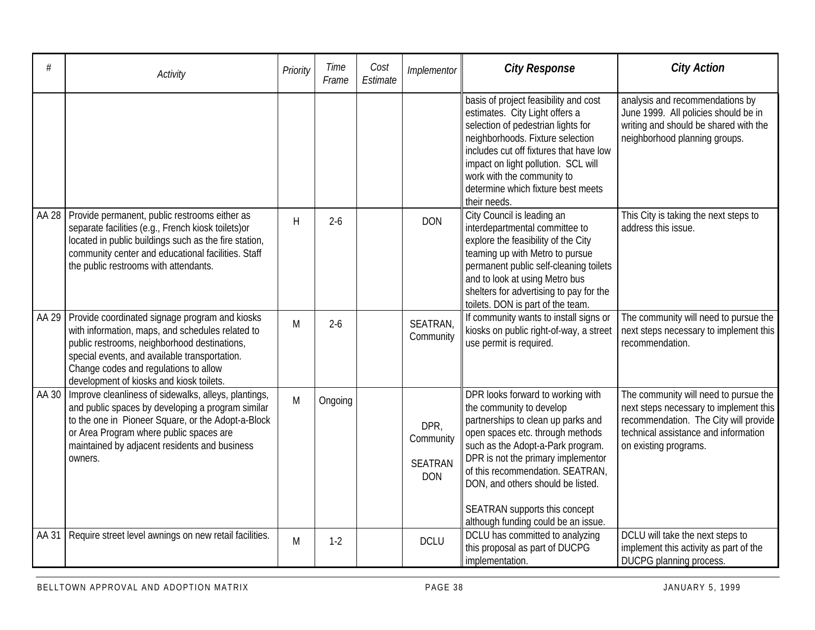| #     | Activity                                                                                                                                                                                                                                                                                 | Priority     | Time<br>Frame | Cost<br>Estimate | Implementor                                       | <b>City Response</b>                                                                                                                                                                                                                                                                                                                                                | <b>City Action</b>                                                                                                                                                                        |
|-------|------------------------------------------------------------------------------------------------------------------------------------------------------------------------------------------------------------------------------------------------------------------------------------------|--------------|---------------|------------------|---------------------------------------------------|---------------------------------------------------------------------------------------------------------------------------------------------------------------------------------------------------------------------------------------------------------------------------------------------------------------------------------------------------------------------|-------------------------------------------------------------------------------------------------------------------------------------------------------------------------------------------|
|       |                                                                                                                                                                                                                                                                                          |              |               |                  |                                                   | basis of project feasibility and cost<br>estimates. City Light offers a<br>selection of pedestrian lights for<br>neighborhoods. Fixture selection<br>includes cut off fixtures that have low<br>impact on light pollution. SCL will<br>work with the community to<br>determine which fixture best meets<br>their needs.                                             | analysis and recommendations by<br>June 1999. All policies should be in<br>writing and should be shared with the<br>neighborhood planning groups.                                         |
| AA 28 | Provide permanent, public restrooms either as<br>separate facilities (e.g., French kiosk toilets) or<br>located in public buildings such as the fire station,<br>community center and educational facilities. Staff<br>the public restrooms with attendants.                             | $\mathsf{H}$ | $2 - 6$       |                  | <b>DON</b>                                        | City Council is leading an<br>interdepartmental committee to<br>explore the feasibility of the City<br>teaming up with Metro to pursue<br>permanent public self-cleaning toilets<br>and to look at using Metro bus<br>shelters for advertising to pay for the<br>toilets. DON is part of the team.                                                                  | This City is taking the next steps to<br>address this issue.                                                                                                                              |
| AA 29 | Provide coordinated signage program and kiosks<br>with information, maps, and schedules related to<br>public restrooms, neighborhood destinations,<br>special events, and available transportation.<br>Change codes and regulations to allow<br>development of kiosks and kiosk toilets. | M            | $2 - 6$       |                  | SEATRAN,<br>Community                             | If community wants to install signs or<br>kiosks on public right-of-way, a street<br>use permit is required.                                                                                                                                                                                                                                                        | The community will need to pursue the<br>next steps necessary to implement this<br>recommendation.                                                                                        |
| AA 30 | Improve cleanliness of sidewalks, alleys, plantings,<br>and public spaces by developing a program similar<br>to the one in Pioneer Square, or the Adopt-a-Block<br>or Area Program where public spaces are<br>maintained by adjacent residents and business<br>owners.                   | M            | Ongoing       |                  | DPR,<br>Community<br><b>SEATRAN</b><br><b>DON</b> | DPR looks forward to working with<br>the community to develop<br>partnerships to clean up parks and<br>open spaces etc. through methods<br>such as the Adopt-a-Park program.<br>DPR is not the primary implementor<br>of this recommendation. SEATRAN,<br>DON, and others should be listed.<br>SEATRAN supports this concept<br>although funding could be an issue. | The community will need to pursue the<br>next steps necessary to implement this<br>recommendation. The City will provide<br>technical assistance and information<br>on existing programs. |
| AA 31 | Require street level awnings on new retail facilities.                                                                                                                                                                                                                                   | M            | $1-2$         |                  | <b>DCLU</b>                                       | DCLU has committed to analyzing<br>this proposal as part of DUCPG<br>implementation.                                                                                                                                                                                                                                                                                | DCLU will take the next steps to<br>implement this activity as part of the<br>DUCPG planning process.                                                                                     |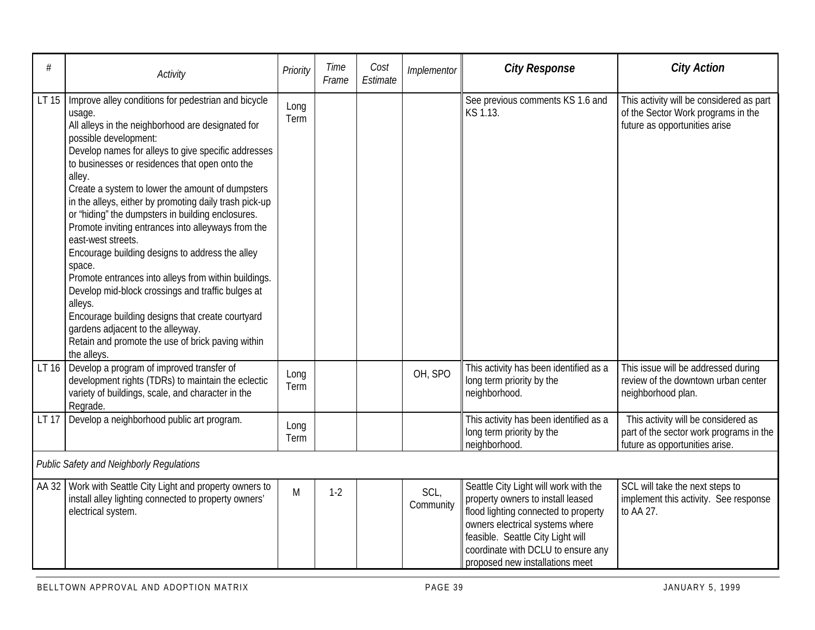| #     | Activity                                                                                                                                                                                                                                                                                                                                                                                                                                                                                                                                                                                                                                                                                                                                                                                                                                                        | Priority     | Time<br>Frame | Cost<br>Estimate | Implementor       | <b>City Response</b>                                                                                                                                                                                                                                                | <b>City Action</b>                                                                                               |
|-------|-----------------------------------------------------------------------------------------------------------------------------------------------------------------------------------------------------------------------------------------------------------------------------------------------------------------------------------------------------------------------------------------------------------------------------------------------------------------------------------------------------------------------------------------------------------------------------------------------------------------------------------------------------------------------------------------------------------------------------------------------------------------------------------------------------------------------------------------------------------------|--------------|---------------|------------------|-------------------|---------------------------------------------------------------------------------------------------------------------------------------------------------------------------------------------------------------------------------------------------------------------|------------------------------------------------------------------------------------------------------------------|
| LT 15 | Improve alley conditions for pedestrian and bicycle<br>usage.<br>All alleys in the neighborhood are designated for<br>possible development:<br>Develop names for alleys to give specific addresses<br>to businesses or residences that open onto the<br>alley.<br>Create a system to lower the amount of dumpsters<br>in the alleys, either by promoting daily trash pick-up<br>or "hiding" the dumpsters in building enclosures.<br>Promote inviting entrances into alleyways from the<br>east-west streets.<br>Encourage building designs to address the alley<br>space.<br>Promote entrances into alleys from within buildings.<br>Develop mid-block crossings and traffic bulges at<br>alleys.<br>Encourage building designs that create courtyard<br>gardens adjacent to the alleyway.<br>Retain and promote the use of brick paving within<br>the alleys. | Long<br>Term |               |                  |                   | See previous comments KS 1.6 and<br>KS 1.13.                                                                                                                                                                                                                        | This activity will be considered as part<br>of the Sector Work programs in the<br>future as opportunities arise  |
|       | LT 16 Develop a program of improved transfer of<br>development rights (TDRs) to maintain the eclectic<br>variety of buildings, scale, and character in the<br>Regrade.                                                                                                                                                                                                                                                                                                                                                                                                                                                                                                                                                                                                                                                                                          | Long<br>Term |               |                  | OH, SPO           | This activity has been identified as a<br>long term priority by the<br>neighborhood.                                                                                                                                                                                | This issue will be addressed during<br>review of the downtown urban center<br>neighborhood plan.                 |
| LT 17 | Develop a neighborhood public art program.                                                                                                                                                                                                                                                                                                                                                                                                                                                                                                                                                                                                                                                                                                                                                                                                                      | Long<br>Term |               |                  |                   | This activity has been identified as a<br>long term priority by the<br>neighborhood.                                                                                                                                                                                | This activity will be considered as<br>part of the sector work programs in the<br>future as opportunities arise. |
|       | <b>Public Safety and Neighborly Regulations</b>                                                                                                                                                                                                                                                                                                                                                                                                                                                                                                                                                                                                                                                                                                                                                                                                                 |              |               |                  |                   |                                                                                                                                                                                                                                                                     |                                                                                                                  |
| AA 32 | Work with Seattle City Light and property owners to<br>install alley lighting connected to property owners'<br>electrical system.                                                                                                                                                                                                                                                                                                                                                                                                                                                                                                                                                                                                                                                                                                                               | M            | $1-2$         |                  | SCL,<br>Community | Seattle City Light will work with the<br>property owners to install leased<br>flood lighting connected to property<br>owners electrical systems where<br>feasible. Seattle City Light will<br>coordinate with DCLU to ensure any<br>proposed new installations meet | SCL will take the next steps to<br>implement this activity. See response<br>to AA 27.                            |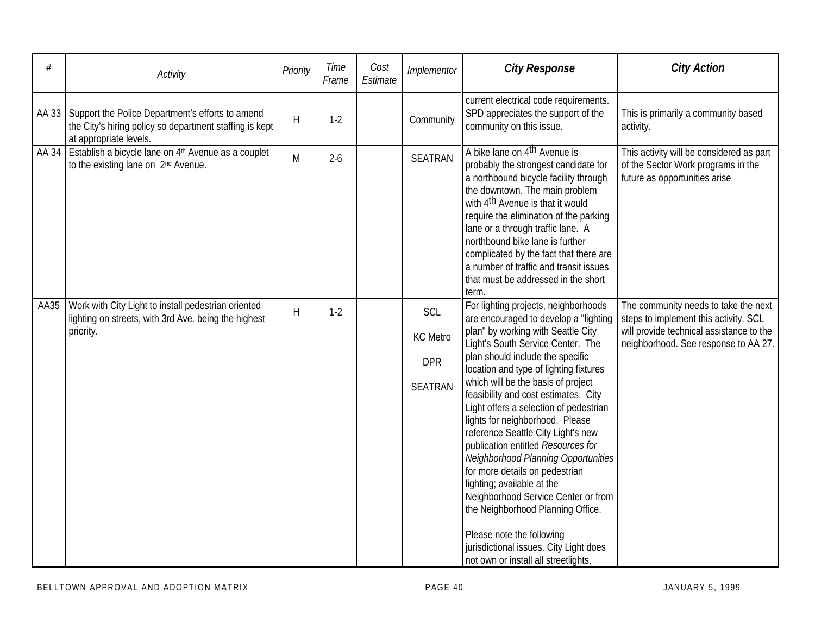| #    | Activity                                                                                                                                      | Priority     | Time<br>Frame | Cost<br>Estimate | Implementor                                            | <b>City Response</b>                                                                                                                                                                                                                                                                                                                                                                                                                                                                                                                                                                                                                                                                                                                                                            | <b>City Action</b>                                                                                                                                                |
|------|-----------------------------------------------------------------------------------------------------------------------------------------------|--------------|---------------|------------------|--------------------------------------------------------|---------------------------------------------------------------------------------------------------------------------------------------------------------------------------------------------------------------------------------------------------------------------------------------------------------------------------------------------------------------------------------------------------------------------------------------------------------------------------------------------------------------------------------------------------------------------------------------------------------------------------------------------------------------------------------------------------------------------------------------------------------------------------------|-------------------------------------------------------------------------------------------------------------------------------------------------------------------|
|      |                                                                                                                                               |              |               |                  |                                                        | current electrical code requirements.                                                                                                                                                                                                                                                                                                                                                                                                                                                                                                                                                                                                                                                                                                                                           |                                                                                                                                                                   |
|      | AA 33   Support the Police Department's efforts to amend<br>the City's hiring policy so department staffing is kept<br>at appropriate levels. | $\mathsf{H}$ | $1-2$         |                  | Community                                              | SPD appreciates the support of the<br>community on this issue.                                                                                                                                                                                                                                                                                                                                                                                                                                                                                                                                                                                                                                                                                                                  | This is primarily a community based<br>activity.                                                                                                                  |
|      | AA 34 Establish a bicycle lane on $4th$ Avenue as a couplet<br>to the existing lane on 2 <sup>nd</sup> Avenue.                                | M            | $2 - 6$       |                  | <b>SEATRAN</b>                                         | A bike lane on 4 <sup>th</sup> Avenue is<br>probably the strongest candidate for<br>a northbound bicycle facility through<br>the downtown. The main problem<br>with 4 <sup>th</sup> Avenue is that it would<br>require the elimination of the parking<br>lane or a through traffic lane. A<br>northbound bike lane is further<br>complicated by the fact that there are<br>a number of traffic and transit issues<br>that must be addressed in the short<br>term.                                                                                                                                                                                                                                                                                                               | This activity will be considered as part<br>of the Sector Work programs in the<br>future as opportunities arise                                                   |
| AA35 | Work with City Light to install pedestrian oriented<br>lighting on streets, with 3rd Ave. being the highest<br>priority.                      | $\mathsf{H}$ | $1-2$         |                  | SCL<br><b>KC</b> Metro<br><b>DPR</b><br><b>SEATRAN</b> | For lighting projects, neighborhoods<br>are encouraged to develop a "lighting<br>plan" by working with Seattle City<br>Light's South Service Center. The<br>plan should include the specific<br>location and type of lighting fixtures<br>which will be the basis of project<br>feasibility and cost estimates. City<br>Light offers a selection of pedestrian<br>lights for neighborhood. Please<br>reference Seattle City Light's new<br>publication entitled Resources for<br>Neighborhood Planning Opportunities<br>for more details on pedestrian<br>lighting; available at the<br>Neighborhood Service Center or from<br>the Neighborhood Planning Office.<br>Please note the following<br>jurisdictional issues. City Light does<br>not own or install all streetlights. | The community needs to take the next<br>steps to implement this activity. SCL<br>will provide technical assistance to the<br>neighborhood. See response to AA 27. |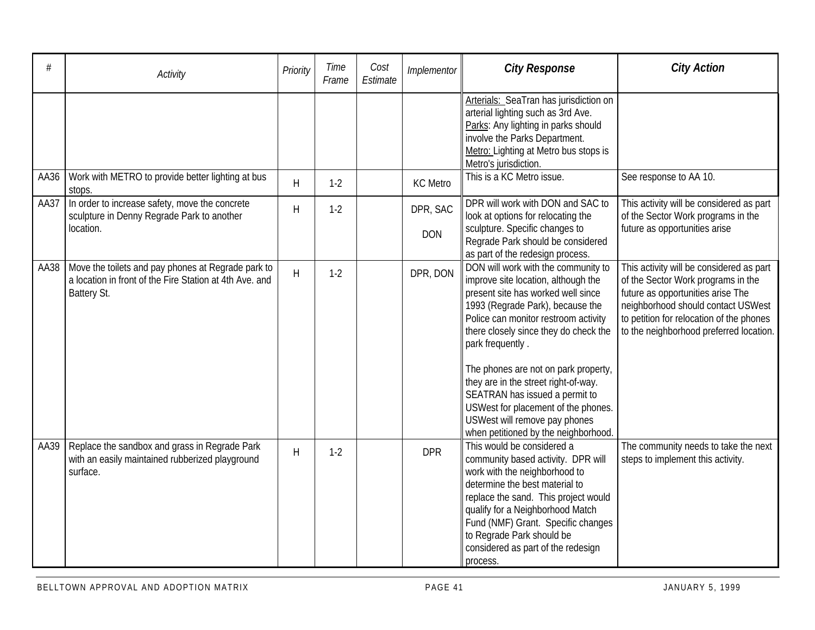| #    | Activity                                                                                                                     | Priority | Time<br>Frame | Cost<br>Estimate | Implementor            | <b>City Response</b>                                                                                                                                                                                                                                                                                                                                                                                                                                                                        | <b>City Action</b>                                                                                                                                                                                                                               |
|------|------------------------------------------------------------------------------------------------------------------------------|----------|---------------|------------------|------------------------|---------------------------------------------------------------------------------------------------------------------------------------------------------------------------------------------------------------------------------------------------------------------------------------------------------------------------------------------------------------------------------------------------------------------------------------------------------------------------------------------|--------------------------------------------------------------------------------------------------------------------------------------------------------------------------------------------------------------------------------------------------|
|      |                                                                                                                              |          |               |                  |                        | Arterials: SeaTran has jurisdiction on<br>arterial lighting such as 3rd Ave.<br>Parks: Any lighting in parks should<br>involve the Parks Department.<br>Metro: Lighting at Metro bus stops is<br>Metro's jurisdiction.                                                                                                                                                                                                                                                                      |                                                                                                                                                                                                                                                  |
| AA36 | Work with METRO to provide better lighting at bus<br>stops.                                                                  | H        | $1-2$         |                  | <b>KC</b> Metro        | This is a KC Metro issue.                                                                                                                                                                                                                                                                                                                                                                                                                                                                   | See response to AA 10.                                                                                                                                                                                                                           |
| AA37 | In order to increase safety, move the concrete<br>sculpture in Denny Regrade Park to another<br>location.                    | H        | $1-2$         |                  | DPR, SAC<br><b>DON</b> | DPR will work with DON and SAC to<br>look at options for relocating the<br>sculpture. Specific changes to<br>Regrade Park should be considered<br>as part of the redesign process.                                                                                                                                                                                                                                                                                                          | This activity will be considered as part<br>of the Sector Work programs in the<br>future as opportunities arise                                                                                                                                  |
| AA38 | Move the toilets and pay phones at Regrade park to<br>a location in front of the Fire Station at 4th Ave. and<br>Battery St. | H        | $1-2$         |                  | DPR, DON               | DON will work with the community to<br>improve site location, although the<br>present site has worked well since<br>1993 (Regrade Park), because the<br>Police can monitor restroom activity<br>there closely since they do check the<br>park frequently.<br>The phones are not on park property,<br>they are in the street right-of-way.<br>SEATRAN has issued a permit to<br>USWest for placement of the phones.<br>USWest will remove pay phones<br>when petitioned by the neighborhood. | This activity will be considered as part<br>of the Sector Work programs in the<br>future as opportunities arise The<br>neighborhood should contact USWest<br>to petition for relocation of the phones<br>to the neighborhood preferred location. |
| AA39 | Replace the sandbox and grass in Regrade Park<br>with an easily maintained rubberized playground<br>surface.                 | H        | $1-2$         |                  | <b>DPR</b>             | This would be considered a<br>community based activity. DPR will<br>work with the neighborhood to<br>determine the best material to<br>replace the sand. This project would<br>qualify for a Neighborhood Match<br>Fund (NMF) Grant. Specific changes<br>to Regrade Park should be<br>considered as part of the redesign<br>process.                                                                                                                                                        | The community needs to take the next<br>steps to implement this activity.                                                                                                                                                                        |